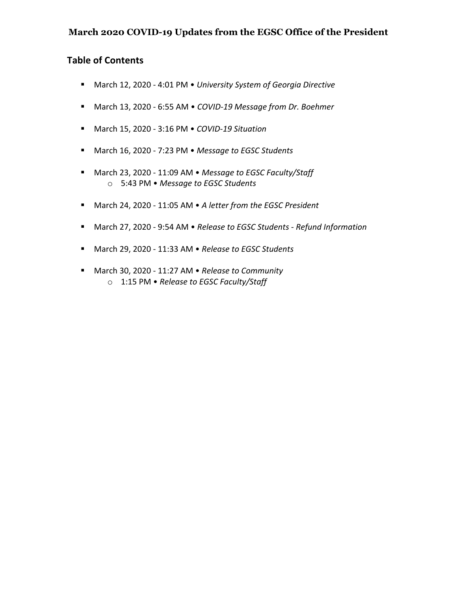## **March 2020 COVID-19 Updates from the EGSC Office of the President**

## **Table of Contents**

- § March 12, 2020 4:01 PM *University System of Georgia Directive*
- § March 13, 2020 6:55 AM *COVID-19 Message from Dr. Boehmer*
- § March 15, 2020 3:16 PM *COVID-19 Situation*
- § March 16, 2020 7:23 PM *Message to EGSC Students*
- § March 23, 2020 11:09 AM *Message to EGSC Faculty/Staff* o 5:43 PM • *Message to EGSC Students*
- § March 24, 2020 11:05 AM *A letter from the EGSC President*
- § March 27, 2020 9:54 AM *Release to EGSC Students - Refund Information*
- § March 29, 2020 11:33 AM *Release to EGSC Students*
- March 30, 2020 11:27 AM *Release to Community* o 1:15 PM • *Release to EGSC Faculty/Staff*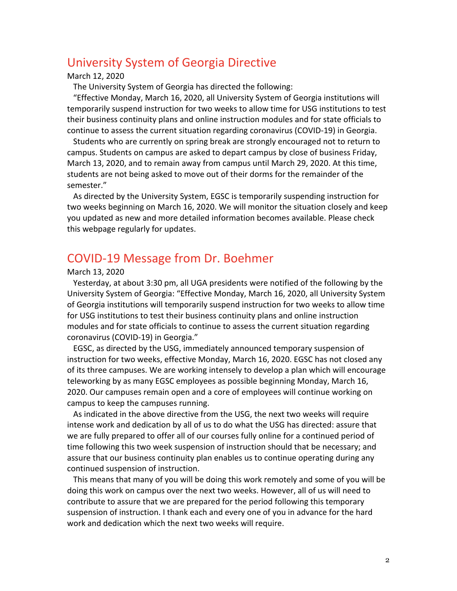# University System of Georgia Directive

#### March 12, 2020

The University System of Georgia has directed the following:

"Effective Monday, March 16, 2020, all University System of Georgia institutions will temporarily suspend instruction for two weeks to allow time for USG institutions to test their business continuity plans and online instruction modules and for state officials to continue to assess the current situation regarding coronavirus (COVID-19) in Georgia.

Students who are currently on spring break are strongly encouraged not to return to campus. Students on campus are asked to depart campus by close of business Friday, March 13, 2020, and to remain away from campus until March 29, 2020. At this time, students are not being asked to move out of their dorms for the remainder of the semester."

As directed by the University System, EGSC is temporarily suspending instruction for two weeks beginning on March 16, 2020. We will monitor the situation closely and keep you updated as new and more detailed information becomes available. Please check this webpage regularly for updates.

# COVID-19 Message from Dr. Boehmer

## March 13, 2020

Yesterday, at about 3:30 pm, all UGA presidents were notified of the following by the University System of Georgia: "Effective Monday, March 16, 2020, all University System of Georgia institutions will temporarily suspend instruction for two weeks to allow time for USG institutions to test their business continuity plans and online instruction modules and for state officials to continue to assess the current situation regarding coronavirus (COVID-19) in Georgia."

EGSC, as directed by the USG, immediately announced temporary suspension of instruction for two weeks, effective Monday, March 16, 2020. EGSC has not closed any of its three campuses. We are working intensely to develop a plan which will encourage teleworking by as many EGSC employees as possible beginning Monday, March 16, 2020. Our campuses remain open and a core of employees will continue working on campus to keep the campuses running.

As indicated in the above directive from the USG, the next two weeks will require intense work and dedication by all of us to do what the USG has directed: assure that we are fully prepared to offer all of our courses fully online for a continued period of time following this two week suspension of instruction should that be necessary; and assure that our business continuity plan enables us to continue operating during any continued suspension of instruction.

This means that many of you will be doing this work remotely and some of you will be doing this work on campus over the next two weeks. However, all of us will need to contribute to assure that we are prepared for the period following this temporary suspension of instruction. I thank each and every one of you in advance for the hard work and dedication which the next two weeks will require.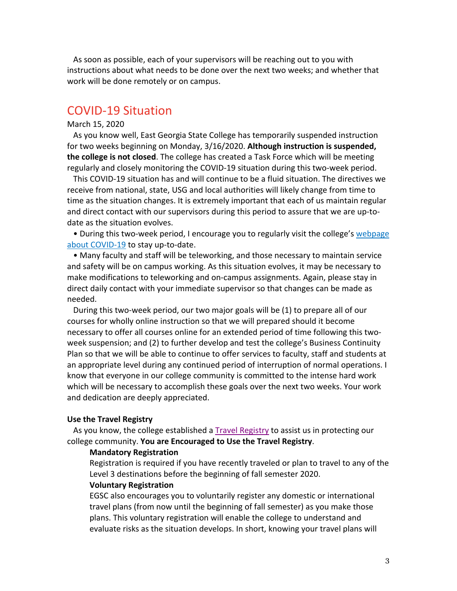As soon as possible, each of your supervisors will be reaching out to you with instructions about what needs to be done over the next two weeks; and whether that work will be done remotely or on campus.

## COVID-19 Situation

#### March 15, 2020

As you know well, East Georgia State College has temporarily suspended instruction for two weeks beginning on Monday, 3/16/2020. **Although instruction is suspended, the college is not closed**. The college has created a Task Force which will be meeting regularly and closely monitoring the COVID-19 situation during this two-week period.

This COVID-19 situation has and will continue to be a fluid situation. The directives we receive from national, state, USG and local authorities will likely change from time to time as the situation changes. It is extremely important that each of us maintain regular and direct contact with our supervisors during this period to assure that we are up-todate as the situation evolves.

• During this two-week period, I encourage you to regularly visit the college's webpage about COVID-19 to stay up-to-date.

• Many faculty and staff will be teleworking, and those necessary to maintain service and safety will be on campus working. As this situation evolves, it may be necessary to make modifications to teleworking and on-campus assignments. Again, please stay in direct daily contact with your immediate supervisor so that changes can be made as needed.

During this two-week period, our two major goals will be (1) to prepare all of our courses for wholly online instruction so that we will prepared should it become necessary to offer all courses online for an extended period of time following this twoweek suspension; and (2) to further develop and test the college's Business Continuity Plan so that we will be able to continue to offer services to faculty, staff and students at an appropriate level during any continued period of interruption of normal operations. I know that everyone in our college community is committed to the intense hard work which will be necessary to accomplish these goals over the next two weeks. Your work and dedication are deeply appreciated.

#### **Use the Travel Registry**

As you know, the college established a Travel Registry to assist us in protecting our college community. **You are Encouraged to Use the Travel Registry**.

#### **Mandatory Registration**

Registration is required if you have recently traveled or plan to travel to any of the Level 3 destinations before the beginning of fall semester 2020.

#### **Voluntary Registration**

EGSC also encourages you to voluntarily register any domestic or international travel plans (from now until the beginning of fall semester) as you make those plans. This voluntary registration will enable the college to understand and evaluate risks as the situation develops. In short, knowing your travel plans will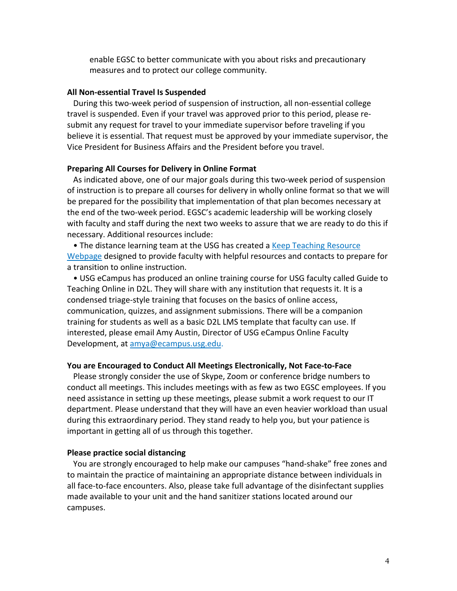enable EGSC to better communicate with you about risks and precautionary measures and to protect our college community.

#### **All Non-essential Travel Is Suspended**

During this two-week period of suspension of instruction, all non-essential college travel is suspended. Even if your travel was approved prior to this period, please resubmit any request for travel to your immediate supervisor before traveling if you believe it is essential. That request must be approved by your immediate supervisor, the Vice President for Business Affairs and the President before you travel.

#### **Preparing All Courses for Delivery in Online Format**

As indicated above, one of our major goals during this two-week period of suspension of instruction is to prepare all courses for delivery in wholly online format so that we will be prepared for the possibility that implementation of that plan becomes necessary at the end of the two-week period. EGSC's academic leadership will be working closely with faculty and staff during the next two weeks to assure that we are ready to do this if necessary. Additional resources include:

• The distance learning team at the USG has created a Keep Teaching Resource Webpage designed to provide faculty with helpful resources and contacts to prepare for a transition to online instruction.

• USG eCampus has produced an online training course for USG faculty called Guide to Teaching Online in D2L. They will share with any institution that requests it. It is a condensed triage-style training that focuses on the basics of online access, communication, quizzes, and assignment submissions. There will be a companion training for students as well as a basic D2L LMS template that faculty can use. If interested, please email Amy Austin, Director of USG eCampus Online Faculty Development, at amya@ecampus.usg.edu.

#### **You are Encouraged to Conduct All Meetings Electronically, Not Face-to-Face**

Please strongly consider the use of Skype, Zoom or conference bridge numbers to conduct all meetings. This includes meetings with as few as two EGSC employees. If you need assistance in setting up these meetings, please submit a work request to our IT department. Please understand that they will have an even heavier workload than usual during this extraordinary period. They stand ready to help you, but your patience is important in getting all of us through this together.

#### **Please practice social distancing**

You are strongly encouraged to help make our campuses "hand-shake" free zones and to maintain the practice of maintaining an appropriate distance between individuals in all face-to-face encounters. Also, please take full advantage of the disinfectant supplies made available to your unit and the hand sanitizer stations located around our campuses.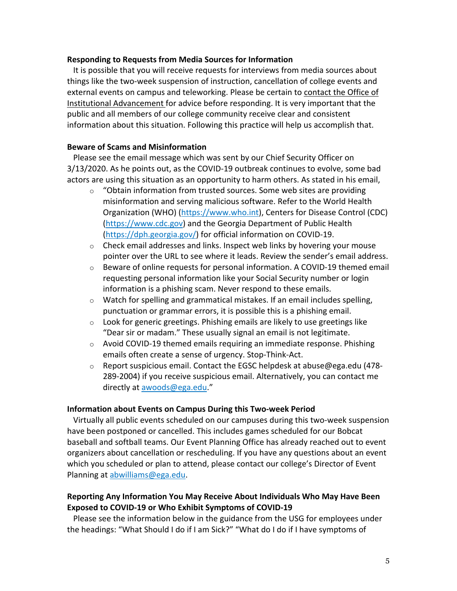#### **Responding to Requests from Media Sources for Information**

It is possible that you will receive requests for interviews from media sources about things like the two-week suspension of instruction, cancellation of college events and external events on campus and teleworking. Please be certain to contact the Office of Institutional Advancement for advice before responding. It is very important that the public and all members of our college community receive clear and consistent information about this situation. Following this practice will help us accomplish that.

## **Beware of Scams and Misinformation**

Please see the email message which was sent by our Chief Security Officer on 3/13/2020. As he points out, as the COVID-19 outbreak continues to evolve, some bad actors are using this situation as an opportunity to harm others. As stated in his email,

- $\circ$  "Obtain information from trusted sources. Some web sites are providing misinformation and serving malicious software. Refer to the World Health Organization (WHO) (https://www.who.int), Centers for Disease Control (CDC) (https://www.cdc.gov) and the Georgia Department of Public Health (https://dph.georgia.gov/) for official information on COVID-19.
- $\circ$  Check email addresses and links. Inspect web links by hovering your mouse pointer over the URL to see where it leads. Review the sender's email address.
- $\circ$  Beware of online requests for personal information. A COVID-19 themed email requesting personal information like your Social Security number or login information is a phishing scam. Never respond to these emails.
- $\circ$  Watch for spelling and grammatical mistakes. If an email includes spelling, punctuation or grammar errors, it is possible this is a phishing email.
- $\circ$  Look for generic greetings. Phishing emails are likely to use greetings like "Dear sir or madam." These usually signal an email is not legitimate.
- $\circ$  Avoid COVID-19 themed emails requiring an immediate response. Phishing emails often create a sense of urgency. Stop-Think-Act.
- o Report suspicious email. Contact the EGSC helpdesk at abuse@ega.edu (478- 289-2004) if you receive suspicious email. Alternatively, you can contact me directly at awoods@ega.edu."

## **Information about Events on Campus During this Two-week Period**

Virtually all public events scheduled on our campuses during this two-week suspension have been postponed or cancelled. This includes games scheduled for our Bobcat baseball and softball teams. Our Event Planning Office has already reached out to event organizers about cancellation or rescheduling. If you have any questions about an event which you scheduled or plan to attend, please contact our college's Director of Event Planning at abwilliams@ega.edu.

## **Reporting Any Information You May Receive About Individuals Who May Have Been Exposed to COVID-19 or Who Exhibit Symptoms of COVID-19**

Please see the information below in the guidance from the USG for employees under the headings: "What Should I do if I am Sick?" "What do I do if I have symptoms of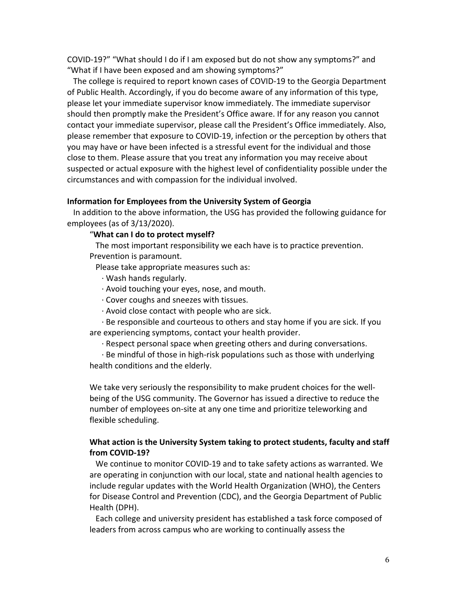COVID-19?" "What should I do if I am exposed but do not show any symptoms?" and "What if I have been exposed and am showing symptoms?"

The college is required to report known cases of COVID-19 to the Georgia Department of Public Health. Accordingly, if you do become aware of any information of this type, please let your immediate supervisor know immediately. The immediate supervisor should then promptly make the President's Office aware. If for any reason you cannot contact your immediate supervisor, please call the President's Office immediately. Also, please remember that exposure to COVID-19, infection or the perception by others that you may have or have been infected is a stressful event for the individual and those close to them. Please assure that you treat any information you may receive about suspected or actual exposure with the highest level of confidentiality possible under the circumstances and with compassion for the individual involved.

#### **Information for Employees from the University System of Georgia**

In addition to the above information, the USG has provided the following guidance for employees (as of 3/13/2020).

#### "**What can I do to protect myself?**

The most important responsibility we each have is to practice prevention. Prevention is paramount.

Please take appropriate measures such as:

- · Wash hands regularly.
- · Avoid touching your eyes, nose, and mouth.
- · Cover coughs and sneezes with tissues.
- · Avoid close contact with people who are sick.
- · Be responsible and courteous to others and stay home if you are sick. If you are experiencing symptoms, contact your health provider.
	- · Respect personal space when greeting others and during conversations.

· Be mindful of those in high-risk populations such as those with underlying health conditions and the elderly.

We take very seriously the responsibility to make prudent choices for the wellbeing of the USG community. The Governor has issued a directive to reduce the number of employees on-site at any one time and prioritize teleworking and flexible scheduling.

## **What action is the University System taking to protect students, faculty and staff from COVID-19?**

We continue to monitor COVID-19 and to take safety actions as warranted. We are operating in conjunction with our local, state and national health agencies to include regular updates with the World Health Organization (WHO), the Centers for Disease Control and Prevention (CDC), and the Georgia Department of Public Health (DPH).

Each college and university president has established a task force composed of leaders from across campus who are working to continually assess the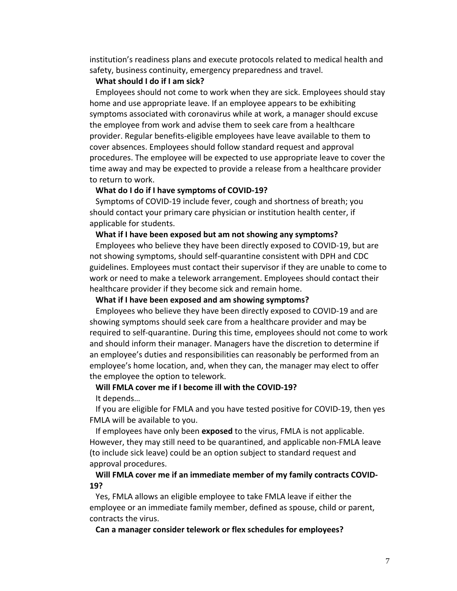institution's readiness plans and execute protocols related to medical health and safety, business continuity, emergency preparedness and travel.

#### **What should I do if I am sick?**

Employees should not come to work when they are sick. Employees should stay home and use appropriate leave. If an employee appears to be exhibiting symptoms associated with coronavirus while at work, a manager should excuse the employee from work and advise them to seek care from a healthcare provider. Regular benefits-eligible employees have leave available to them to cover absences. Employees should follow standard request and approval procedures. The employee will be expected to use appropriate leave to cover the time away and may be expected to provide a release from a healthcare provider to return to work.

#### **What do I do if I have symptoms of COVID-19?**

Symptoms of COVID-19 include fever, cough and shortness of breath; you should contact your primary care physician or institution health center, if applicable for students.

#### **What if I have been exposed but am not showing any symptoms?**

Employees who believe they have been directly exposed to COVID-19, but are not showing symptoms, should self-quarantine consistent with DPH and CDC guidelines. Employees must contact their supervisor if they are unable to come to work or need to make a telework arrangement. Employees should contact their healthcare provider if they become sick and remain home.

### **What if I have been exposed and am showing symptoms?**

Employees who believe they have been directly exposed to COVID-19 and are showing symptoms should seek care from a healthcare provider and may be required to self-quarantine. During this time, employees should not come to work and should inform their manager. Managers have the discretion to determine if an employee's duties and responsibilities can reasonably be performed from an employee's home location, and, when they can, the manager may elect to offer the employee the option to telework.

#### **Will FMLA cover me if I become ill with the COVID-19?**

It depends…

If you are eligible for FMLA and you have tested positive for COVID-19, then yes FMLA will be available to you.

If employees have only been **exposed** to the virus, FMLA is not applicable. However, they may still need to be quarantined, and applicable non-FMLA leave (to include sick leave) could be an option subject to standard request and approval procedures.

### **Will FMLA cover me if an immediate member of my family contracts COVID-19?**

Yes, FMLA allows an eligible employee to take FMLA leave if either the employee or an immediate family member, defined as spouse, child or parent, contracts the virus.

**Can a manager consider telework or flex schedules for employees?**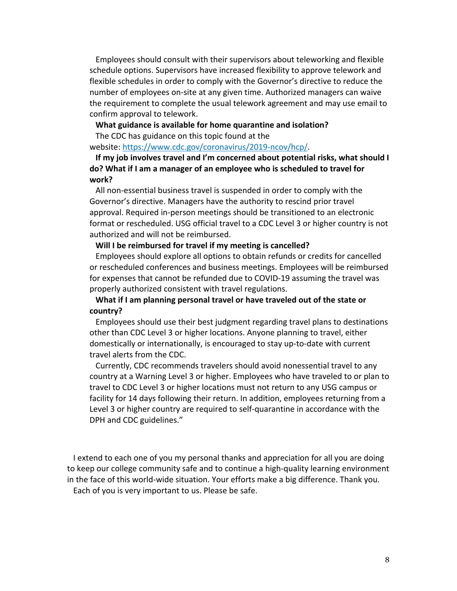Employees should consult with their supervisors about teleworking and flexible schedule options. Supervisors have increased flexibility to approve telework and flexible schedules in order to comply with the Governor's directive to reduce the number of employees on-site at any given time. Authorized managers can waive the requirement to complete the usual telework agreement and may use email to confirm approval to telework.

#### **What guidance is available for home quarantine and isolation?**

The CDC has guidance on this topic found at the

website: https://www.cdc.gov/coronavirus/2019-ncov/hcp/.

**If my job involves travel and I'm concerned about potential risks, what should I do? What if I am a manager of an employee who is scheduled to travel for work?**

All non-essential business travel is suspended in order to comply with the Governor's directive. Managers have the authority to rescind prior travel approval. Required in-person meetings should be transitioned to an electronic format or rescheduled. USG official travel to a CDC Level 3 or higher country is not authorized and will not be reimbursed.

#### **Will I be reimbursed for travel if my meeting is cancelled?**

Employees should explore all options to obtain refunds or credits for cancelled or rescheduled conferences and business meetings. Employees will be reimbursed for expenses that cannot be refunded due to COVID-19 assuming the travel was properly authorized consistent with travel regulations.

## **What if I am planning personal travel or have traveled out of the state or country?**

Employees should use their best judgment regarding travel plans to destinations other than CDC Level 3 or higher locations. Anyone planning to travel, either domestically or internationally, is encouraged to stay up-to-date with current travel alerts from the CDC.

Currently, CDC recommends travelers should avoid nonessential travel to any country at a Warning Level 3 or higher. Employees who have traveled to or plan to travel to CDC Level 3 or higher locations must not return to any USG campus or facility for 14 days following their return. In addition, employees returning from a Level 3 or higher country are required to self-quarantine in accordance with the DPH and CDC guidelines."

I extend to each one of you my personal thanks and appreciation for all you are doing to keep our college community safe and to continue a high-quality learning environment in the face of this world-wide situation. Your efforts make a big difference. Thank you. Each of you is very important to us. Please be safe.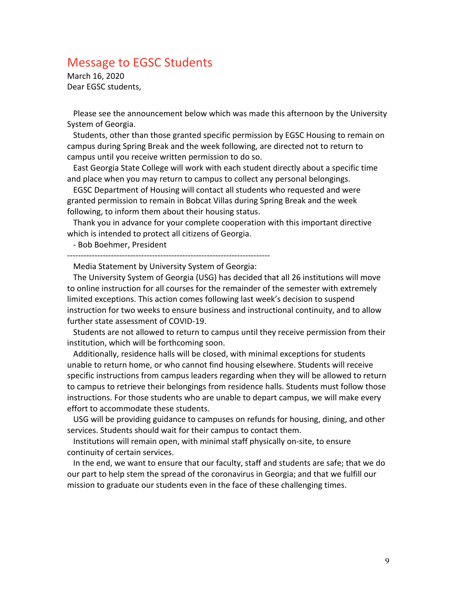# Message to EGSC Students

March 16, 2020 Dear EGSC students,

Please see the announcement below which was made this afternoon by the University System of Georgia.

 Students, other than those granted specific permission by EGSC Housing to remain on campus during Spring Break and the week following, are directed not to return to campus until you receive written permission to do so.

 East Georgia State College will work with each student directly about a specific time and place when you may return to campus to collect any personal belongings.

 EGSC Department of Housing will contact all students who requested and were granted permission to remain in Bobcat Villas during Spring Break and the week following, to inform them about their housing status.

 Thank you in advance for your complete cooperation with this important directive which is intended to protect all citizens of Georgia.

- Bob Boehmer, President

--------------------------------------------------------------------------

Media Statement by University System of Georgia:

 The University System of Georgia (USG) has decided that all 26 institutions will move to online instruction for all courses for the remainder of the semester with extremely limited exceptions. This action comes following last week's decision to suspend instruction for two weeks to ensure business and instructional continuity, and to allow further state assessment of COVID-19.

 Students are not allowed to return to campus until they receive permission from their institution, which will be forthcoming soon.

 Additionally, residence halls will be closed, with minimal exceptions for students unable to return home, or who cannot find housing elsewhere. Students will receive specific instructions from campus leaders regarding when they will be allowed to return to campus to retrieve their belongings from residence halls. Students must follow those instructions. For those students who are unable to depart campus, we will make every effort to accommodate these students.

 USG will be providing guidance to campuses on refunds for housing, dining, and other services. Students should wait for their campus to contact them.

 Institutions will remain open, with minimal staff physically on-site, to ensure continuity of certain services.

 In the end, we want to ensure that our faculty, staff and students are safe; that we do our part to help stem the spread of the coronavirus in Georgia; and that we fulfill our mission to graduate our students even in the face of these challenging times.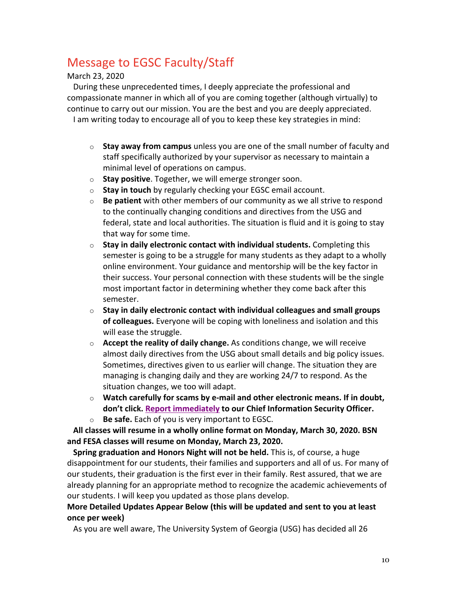# Message to EGSC Faculty/Staff

March 23, 2020

During these unprecedented times, I deeply appreciate the professional and compassionate manner in which all of you are coming together (although virtually) to continue to carry out our mission. You are the best and you are deeply appreciated. I am writing today to encourage all of you to keep these key strategies in mind:

- o **Stay away from campus** unless you are one of the small number of faculty and staff specifically authorized by your supervisor as necessary to maintain a minimal level of operations on campus.
- o **Stay positive**. Together, we will emerge stronger soon.
- o **Stay in touch** by regularly checking your EGSC email account.
- o **Be patient** with other members of our community as we all strive to respond to the continually changing conditions and directives from the USG and federal, state and local authorities. The situation is fluid and it is going to stay that way for some time.
- o **Stay in daily electronic contact with individual students.** Completing this semester is going to be a struggle for many students as they adapt to a wholly online environment. Your guidance and mentorship will be the key factor in their success. Your personal connection with these students will be the single most important factor in determining whether they come back after this semester.
- o **Stay in daily electronic contact with individual colleagues and small groups of colleagues.** Everyone will be coping with loneliness and isolation and this will ease the struggle.
- o **Accept the reality of daily change.** As conditions change, we will receive almost daily directives from the USG about small details and big policy issues. Sometimes, directives given to us earlier will change. The situation they are managing is changing daily and they are working 24/7 to respond. As the situation changes, we too will adapt.
- o **Watch carefully for scams by e-mail and other electronic means. If in doubt, don't click. Report immediately to our Chief Information Security Officer.**
- o **Be safe.** Each of you is very important to EGSC.

**All classes will resume in a wholly online format on Monday, March 30, 2020. BSN and FESA classes will resume on Monday, March 23, 2020.**

**Spring graduation and Honors Night will not be held.** This is, of course, a huge disappointment for our students, their families and supporters and all of us. For many of our students, their graduation is the first ever in their family. Rest assured, that we are already planning for an appropriate method to recognize the academic achievements of our students. I will keep you updated as those plans develop.

## **More Detailed Updates Appear Below (this will be updated and sent to you at least once per week)**

As you are well aware, The University System of Georgia (USG) has decided all 26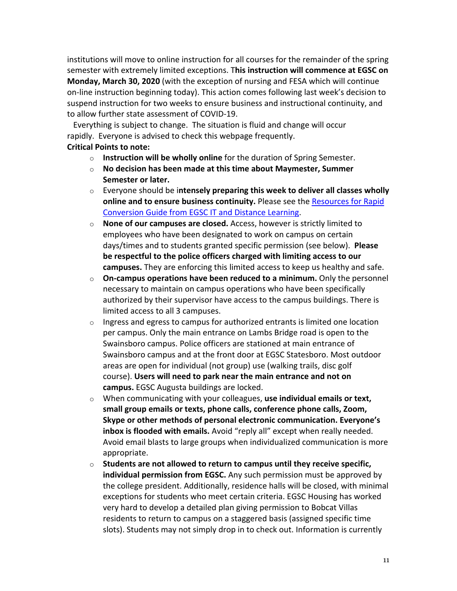institutions will move to online instruction for all courses for the remainder of the spring semester with extremely limited exceptions. T**his instruction will commence at EGSC on Monday, March 30, 2020** (with the exception of nursing and FESA which will continue on-line instruction beginning today). This action comes following last week's decision to suspend instruction for two weeks to ensure business and instructional continuity, and to allow further state assessment of COVID-19.

Everything is subject to change. The situation is fluid and change will occur rapidly. Everyone is advised to check this webpage frequently.

## **Critical Points to note:**

- o **Instruction will be wholly online** for the duration of Spring Semester.
- o **No decision has been made at this time about Maymester, Summer Semester or later.**
- o Everyone should be i**ntensely preparing this week to deliver all classes wholly online and to ensure business continuity.** Please see the Resources for Rapid Conversion Guide from EGSC IT and Distance Learning.
- o **None of our campuses are closed.** Access, however is strictly limited to employees who have been designated to work on campus on certain days/times and to students granted specific permission (see below). **Please be respectful to the police officers charged with limiting access to our campuses.** They are enforcing this limited access to keep us healthy and safe.
- o **On-campus operations have been reduced to a minimum.** Only the personnel necessary to maintain on campus operations who have been specifically authorized by their supervisor have access to the campus buildings. There is limited access to all 3 campuses.
- $\circ$  Ingress and egress to campus for authorized entrants is limited one location per campus. Only the main entrance on Lambs Bridge road is open to the Swainsboro campus. Police officers are stationed at main entrance of Swainsboro campus and at the front door at EGSC Statesboro. Most outdoor areas are open for individual (not group) use (walking trails, disc golf course). **Users will need to park near the main entrance and not on campus.** EGSC Augusta buildings are locked.
- o When communicating with your colleagues, **use individual emails or text, small group emails or texts, phone calls, conference phone calls, Zoom, Skype or other methods of personal electronic communication. Everyone's inbox is flooded with emails.** Avoid "reply all" except when really needed. Avoid email blasts to large groups when individualized communication is more appropriate.
- o **Students are not allowed to return to campus until they receive specific, individual permission from EGSC.** Any such permission must be approved by the college president. Additionally, residence halls will be closed, with minimal exceptions for students who meet certain criteria. EGSC Housing has worked very hard to develop a detailed plan giving permission to Bobcat Villas residents to return to campus on a staggered basis (assigned specific time slots). Students may not simply drop in to check out. Information is currently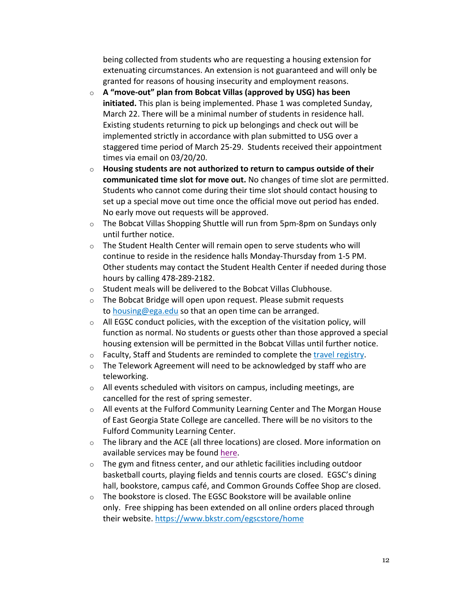being collected from students who are requesting a housing extension for extenuating circumstances. An extension is not guaranteed and will only be granted for reasons of housing insecurity and employment reasons.

- o **A "move-out" plan from Bobcat Villas (approved by USG) has been initiated.** This plan is being implemented. Phase 1 was completed Sunday, March 22. There will be a minimal number of students in residence hall. Existing students returning to pick up belongings and check out will be implemented strictly in accordance with plan submitted to USG over a staggered time period of March 25-29. Students received their appointment times via email on 03/20/20.
- o **Housing students are not authorized to return to campus outside of their communicated time slot for move out.** No changes of time slot are permitted. Students who cannot come during their time slot should contact housing to set up a special move out time once the official move out period has ended. No early move out requests will be approved.
- o The Bobcat Villas Shopping Shuttle will run from 5pm-8pm on Sundays only until further notice.
- o The Student Health Center will remain open to serve students who will continue to reside in the residence halls Monday-Thursday from 1-5 PM. Other students may contact the Student Health Center if needed during those hours by calling 478-289-2182.
- o Student meals will be delivered to the Bobcat Villas Clubhouse.
- o The Bobcat Bridge will open upon request. Please submit requests to housing@ega.edu so that an open time can be arranged.
- $\circ$  All EGSC conduct policies, with the exception of the visitation policy, will function as normal. No students or guests other than those approved a special housing extension will be permitted in the Bobcat Villas until further notice.
- o Faculty, Staff and Students are reminded to complete the travel registry.
- o The Telework Agreement will need to be acknowledged by staff who are teleworking.
- $\circ$  All events scheduled with visitors on campus, including meetings, are cancelled for the rest of spring semester.
- o All events at the Fulford Community Learning Center and The Morgan House of East Georgia State College are cancelled. There will be no visitors to the Fulford Community Learning Center.
- o The library and the ACE (all three locations) are closed. More information on available services may be found here.
- o The gym and fitness center, and our athletic facilities including outdoor basketball courts, playing fields and tennis courts are closed. EGSC's dining hall, bookstore, campus café, and Common Grounds Coffee Shop are closed.
- o The bookstore is closed. The EGSC Bookstore will be available online only. Free shipping has been extended on all online orders placed through their website. https://www.bkstr.com/egscstore/home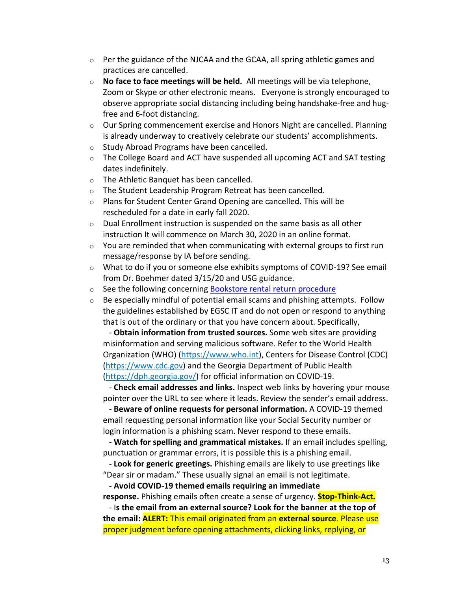- $\circ$  Per the guidance of the NJCAA and the GCAA, all spring athletic games and practices are cancelled.
- o **No face to face meetings will be held.** All meetings will be via telephone, Zoom or Skype or other electronic means. Everyone is strongly encouraged to observe appropriate social distancing including being handshake-free and hugfree and 6-foot distancing.
- $\circ$  Our Spring commencement exercise and Honors Night are cancelled. Planning is already underway to creatively celebrate our students' accomplishments.
- o Study Abroad Programs have been cancelled.
- $\circ$  The College Board and ACT have suspended all upcoming ACT and SAT testing dates indefinitely.
- o The Athletic Banquet has been cancelled.
- o The Student Leadership Program Retreat has been cancelled.
- o Plans for Student Center Grand Opening are cancelled. This will be rescheduled for a date in early fall 2020.
- $\circ$  Dual Enrollment instruction is suspended on the same basis as all other instruction It will commence on March 30, 2020 in an online format.
- $\circ$  You are reminded that when communicating with external groups to first run message/response by IA before sending.
- $\circ$  What to do if you or someone else exhibits symptoms of COVID-19? See email from Dr. Boehmer dated 3/15/20 and USG guidance.
- o See the following concerning Bookstore rental return procedure
- $\circ$  Be especially mindful of potential email scams and phishing attempts. Follow the guidelines established by EGSC IT and do not open or respond to anything that is out of the ordinary or that you have concern about. Specifically,

- **Obtain information from trusted sources.** Some web sites are providing misinformation and serving malicious software. Refer to the World Health Organization (WHO) (https://www.who.int), Centers for Disease Control (CDC) (https://www.cdc.gov) and the Georgia Department of Public Health (https://dph.georgia.gov/) for official information on COVID-19.

- **Check email addresses and links.** Inspect web links by hovering your mouse pointer over the URL to see where it leads. Review the sender's email address.

- **Beware of online requests for personal information.** A COVID-19 themed email requesting personal information like your Social Security number or login information is a phishing scam. Never respond to these emails.

**- Watch for spelling and grammatical mistakes.** If an email includes spelling, punctuation or grammar errors, it is possible this is a phishing email.

**- Look for generic greetings.** Phishing emails are likely to use greetings like "Dear sir or madam." These usually signal an email is not legitimate.

**- Avoid COVID-19 themed emails requiring an immediate response.** Phishing emails often create a sense of urgency. **Stop-Think-Act.**

- I**s the email from an external source? Look for the banner at the top of the email: ALERT:** This email originated from an **external source**. Please use proper judgment before opening attachments, clicking links, replying, or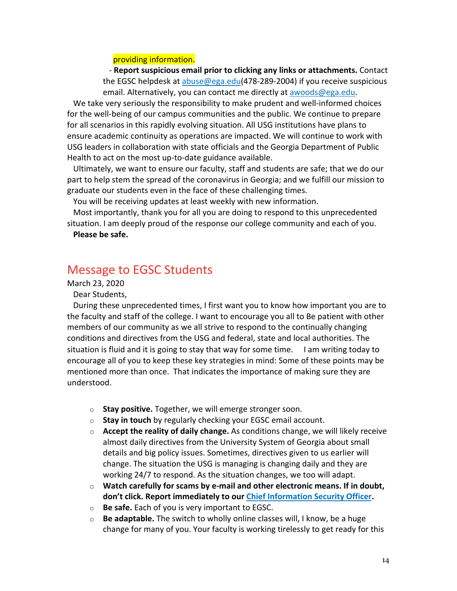#### providing information.

- **Report suspicious email prior to clicking any links or attachments.** Contact the EGSC helpdesk at abuse@ega.edu(478-289-2004) if you receive suspicious email. Alternatively, you can contact me directly at awoods@ega.edu.

We take very seriously the responsibility to make prudent and well-informed choices for the well-being of our campus communities and the public. We continue to prepare for all scenarios in this rapidly evolving situation. All USG institutions have plans to ensure academic continuity as operations are impacted. We will continue to work with USG leaders in collaboration with state officials and the Georgia Department of Public Health to act on the most up-to-date guidance available.

Ultimately, we want to ensure our faculty, staff and students are safe; that we do our part to help stem the spread of the coronavirus in Georgia; and we fulfill our mission to graduate our students even in the face of these challenging times.

You will be receiving updates at least weekly with new information.

Most importantly, thank you for all you are doing to respond to this unprecedented situation. I am deeply proud of the response our college community and each of you.

**Please be safe.**

# Message to EGSC Students

## March 23, 2020

Dear Students,

During these unprecedented times, I first want you to know how important you are to the faculty and staff of the college. I want to encourage you all to Be patient with other members of our community as we all strive to respond to the continually changing conditions and directives from the USG and federal, state and local authorities. The situation is fluid and it is going to stay that way for some time. I am writing today to encourage all of you to keep these key strategies in mind: Some of these points may be mentioned more than once. That indicates the importance of making sure they are understood.

- o **Stay positive.** Together, we will emerge stronger soon.
- o **Stay in touch** by regularly checking your EGSC email account.
- o **Accept the reality of daily change.** As conditions change, we will likely receive almost daily directives from the University System of Georgia about small details and big policy issues. Sometimes, directives given to us earlier will change. The situation the USG is managing is changing daily and they are working 24/7 to respond. As the situation changes, we too will adapt.
- o **Watch carefully for scams by e-mail and other electronic means. If in doubt, don't click. Report immediately to our Chief Information Security Officer.**
- o **Be safe.** Each of you is very important to EGSC.
- o **Be adaptable.** The switch to wholly online classes will, I know, be a huge change for many of you. Your faculty is working tirelessly to get ready for this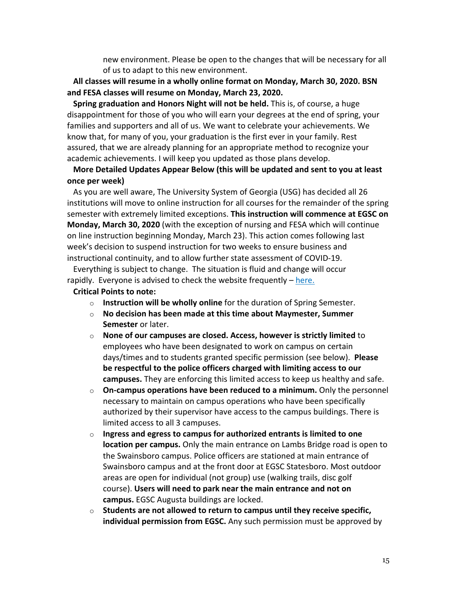new environment. Please be open to the changes that will be necessary for all of us to adapt to this new environment.

**All classes will resume in a wholly online format on Monday, March 30, 2020. BSN and FESA classes will resume on Monday, March 23, 2020.**

**Spring graduation and Honors Night will not be held.** This is, of course, a huge disappointment for those of you who will earn your degrees at the end of spring, your families and supporters and all of us. We want to celebrate your achievements. We know that, for many of you, your graduation is the first ever in your family. Rest assured, that we are already planning for an appropriate method to recognize your academic achievements. I will keep you updated as those plans develop.

## **More Detailed Updates Appear Below (this will be updated and sent to you at least once per week)**

As you are well aware, The University System of Georgia (USG) has decided all 26 institutions will move to online instruction for all courses for the remainder of the spring semester with extremely limited exceptions. **This instruction will commence at EGSC on Monday, March 30, 2020** (with the exception of nursing and FESA which will continue on line instruction beginning Monday, March 23). This action comes following last week's decision to suspend instruction for two weeks to ensure business and instructional continuity, and to allow further state assessment of COVID-19.

Everything is subject to change. The situation is fluid and change will occur rapidly. Everyone is advised to check the website frequently  $-$  here.

#### **Critical Points to note:**

- o **Instruction will be wholly online** for the duration of Spring Semester.
- o **No decision has been made at this time about Maymester, Summer Semester** or later.
- o **None of our campuses are closed. Access, however is strictly limited** to employees who have been designated to work on campus on certain days/times and to students granted specific permission (see below). **Please be respectful to the police officers charged with limiting access to our campuses.** They are enforcing this limited access to keep us healthy and safe.
- o **On-campus operations have been reduced to a minimum.** Only the personnel necessary to maintain on campus operations who have been specifically authorized by their supervisor have access to the campus buildings. There is limited access to all 3 campuses.
- o **Ingress and egress to campus for authorized entrants is limited to one location per campus.** Only the main entrance on Lambs Bridge road is open to the Swainsboro campus. Police officers are stationed at main entrance of Swainsboro campus and at the front door at EGSC Statesboro. Most outdoor areas are open for individual (not group) use (walking trails, disc golf course). **Users will need to park near the main entrance and not on campus.** EGSC Augusta buildings are locked.
- o **Students are not allowed to return to campus until they receive specific, individual permission from EGSC.** Any such permission must be approved by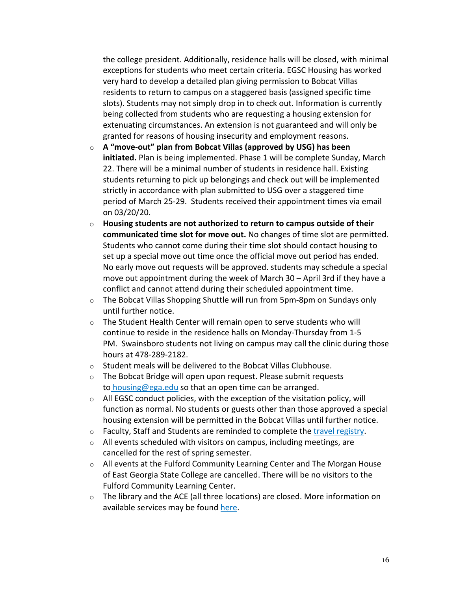the college president. Additionally, residence halls will be closed, with minimal exceptions for students who meet certain criteria. EGSC Housing has worked very hard to develop a detailed plan giving permission to Bobcat Villas residents to return to campus on a staggered basis (assigned specific time slots). Students may not simply drop in to check out. Information is currently being collected from students who are requesting a housing extension for extenuating circumstances. An extension is not guaranteed and will only be granted for reasons of housing insecurity and employment reasons.

- o **A "move-out" plan from Bobcat Villas (approved by USG) has been initiated.** Plan is being implemented. Phase 1 will be complete Sunday, March 22. There will be a minimal number of students in residence hall. Existing students returning to pick up belongings and check out will be implemented strictly in accordance with plan submitted to USG over a staggered time period of March 25-29. Students received their appointment times via email on 03/20/20.
- o **Housing students are not authorized to return to campus outside of their communicated time slot for move out.** No changes of time slot are permitted. Students who cannot come during their time slot should contact housing to set up a special move out time once the official move out period has ended. No early move out requests will be approved. students may schedule a special move out appointment during the week of March 30 – April 3rd if they have a conflict and cannot attend during their scheduled appointment time.
- $\circ$  The Bobcat Villas Shopping Shuttle will run from 5pm-8pm on Sundays only until further notice.
- o The Student Health Center will remain open to serve students who will continue to reside in the residence halls on Monday-Thursday from 1-5 PM. Swainsboro students not living on campus may call the clinic during those hours at 478-289-2182.
- o Student meals will be delivered to the Bobcat Villas Clubhouse.
- o The Bobcat Bridge will open upon request. Please submit requests to housing@ega.edu so that an open time can be arranged.
- $\circ$  All EGSC conduct policies, with the exception of the visitation policy, will function as normal. No students or guests other than those approved a special housing extension will be permitted in the Bobcat Villas until further notice.
- o Faculty, Staff and Students are reminded to complete the travel registry.
- o All events scheduled with visitors on campus, including meetings, are cancelled for the rest of spring semester.
- o All events at the Fulford Community Learning Center and The Morgan House of East Georgia State College are cancelled. There will be no visitors to the Fulford Community Learning Center.
- o The library and the ACE (all three locations) are closed. More information on available services may be found here.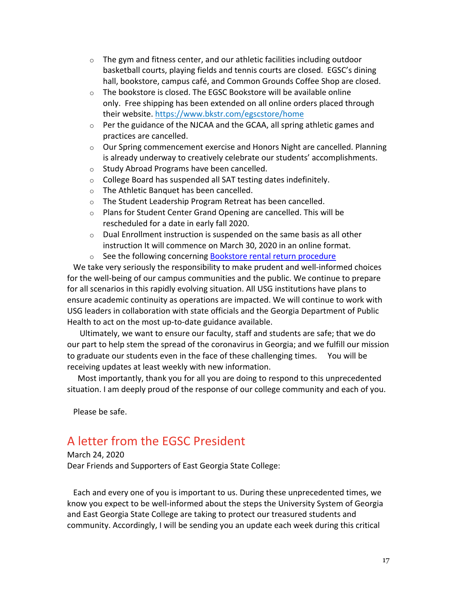- $\circ$  The gym and fitness center, and our athletic facilities including outdoor basketball courts, playing fields and tennis courts are closed. EGSC's dining hall, bookstore, campus café, and Common Grounds Coffee Shop are closed.
- $\circ$  The bookstore is closed. The EGSC Bookstore will be available online only. Free shipping has been extended on all online orders placed through their website. https://www.bkstr.com/egscstore/home
- o Per the guidance of the NJCAA and the GCAA, all spring athletic games and practices are cancelled.
- $\circ$  Our Spring commencement exercise and Honors Night are cancelled. Planning is already underway to creatively celebrate our students' accomplishments.
- o Study Abroad Programs have been cancelled.
- o College Board has suspended all SAT testing dates indefinitely.
- o The Athletic Banquet has been cancelled.
- o The Student Leadership Program Retreat has been cancelled.
- o Plans for Student Center Grand Opening are cancelled. This will be rescheduled for a date in early fall 2020.
- o Dual Enrollment instruction is suspended on the same basis as all other instruction It will commence on March 30, 2020 in an online format.
- o See the following concerning Bookstore rental return procedure

We take very seriously the responsibility to make prudent and well-informed choices for the well-being of our campus communities and the public. We continue to prepare for all scenarios in this rapidly evolving situation. All USG institutions have plans to ensure academic continuity as operations are impacted. We will continue to work with USG leaders in collaboration with state officials and the Georgia Department of Public Health to act on the most up-to-date guidance available.

Ultimately, we want to ensure our faculty, staff and students are safe; that we do our part to help stem the spread of the coronavirus in Georgia; and we fulfill our mission to graduate our students even in the face of these challenging times. You will be receiving updates at least weekly with new information.

Most importantly, thank you for all you are doing to respond to this unprecedented situation. I am deeply proud of the response of our college community and each of you.

Please be safe.

# A letter from the EGSC President

March 24, 2020 Dear Friends and Supporters of East Georgia State College:

Each and every one of you is important to us. During these unprecedented times, we know you expect to be well-informed about the steps the University System of Georgia and East Georgia State College are taking to protect our treasured students and community. Accordingly, I will be sending you an update each week during this critical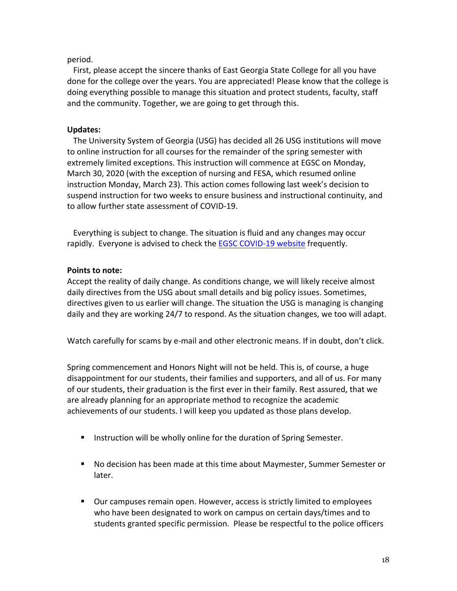## period.

 First, please accept the sincere thanks of East Georgia State College for all you have done for the college over the years. You are appreciated! Please know that the college is doing everything possible to manage this situation and protect students, faculty, staff and the community. Together, we are going to get through this.

## **Updates:**

The University System of Georgia (USG) has decided all 26 USG institutions will move to online instruction for all courses for the remainder of the spring semester with extremely limited exceptions. This instruction will commence at EGSC on Monday, March 30, 2020 (with the exception of nursing and FESA, which resumed online instruction Monday, March 23). This action comes following last week's decision to suspend instruction for two weeks to ensure business and instructional continuity, and to allow further state assessment of COVID-19.

Everything is subject to change. The situation is fluid and any changes may occur rapidly. Everyone is advised to check the EGSC COVID-19 website frequently.

## **Points to note:**

Accept the reality of daily change. As conditions change, we will likely receive almost daily directives from the USG about small details and big policy issues. Sometimes, directives given to us earlier will change. The situation the USG is managing is changing daily and they are working 24/7 to respond. As the situation changes, we too will adapt.

Watch carefully for scams by e-mail and other electronic means. If in doubt, don't click.

Spring commencement and Honors Night will not be held. This is, of course, a huge disappointment for our students, their families and supporters, and all of us. For many of our students, their graduation is the first ever in their family. Rest assured, that we are already planning for an appropriate method to recognize the academic achievements of our students. I will keep you updated as those plans develop.

- Instruction will be wholly online for the duration of Spring Semester.
- No decision has been made at this time about Maymester, Summer Semester or later.
- § Our campuses remain open. However, access is strictly limited to employees who have been designated to work on campus on certain days/times and to students granted specific permission. Please be respectful to the police officers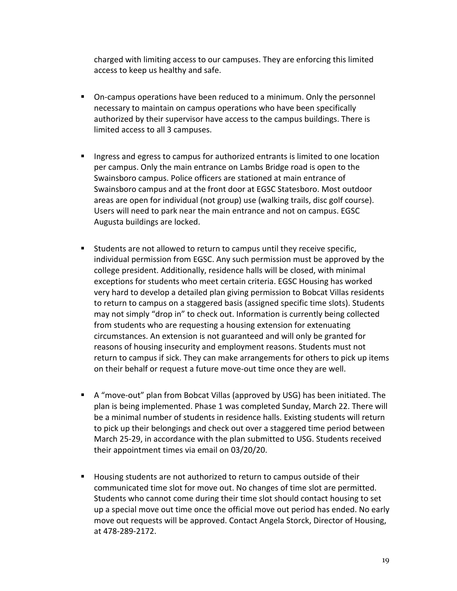charged with limiting access to our campuses. They are enforcing this limited access to keep us healthy and safe.

- On-campus operations have been reduced to a minimum. Only the personnel necessary to maintain on campus operations who have been specifically authorized by their supervisor have access to the campus buildings. There is limited access to all 3 campuses.
- Ingress and egress to campus for authorized entrants is limited to one location per campus. Only the main entrance on Lambs Bridge road is open to the Swainsboro campus. Police officers are stationed at main entrance of Swainsboro campus and at the front door at EGSC Statesboro. Most outdoor areas are open for individual (not group) use (walking trails, disc golf course). Users will need to park near the main entrance and not on campus. EGSC Augusta buildings are locked.
- Students are not allowed to return to campus until they receive specific, individual permission from EGSC. Any such permission must be approved by the college president. Additionally, residence halls will be closed, with minimal exceptions for students who meet certain criteria. EGSC Housing has worked very hard to develop a detailed plan giving permission to Bobcat Villas residents to return to campus on a staggered basis (assigned specific time slots). Students may not simply "drop in" to check out. Information is currently being collected from students who are requesting a housing extension for extenuating circumstances. An extension is not guaranteed and will only be granted for reasons of housing insecurity and employment reasons. Students must not return to campus if sick. They can make arrangements for others to pick up items on their behalf or request a future move-out time once they are well.
- § A "move-out" plan from Bobcat Villas (approved by USG) has been initiated. The plan is being implemented. Phase 1 was completed Sunday, March 22. There will be a minimal number of students in residence halls. Existing students will return to pick up their belongings and check out over a staggered time period between March 25-29, in accordance with the plan submitted to USG. Students received their appointment times via email on 03/20/20.
- Housing students are not authorized to return to campus outside of their communicated time slot for move out. No changes of time slot are permitted. Students who cannot come during their time slot should contact housing to set up a special move out time once the official move out period has ended. No early move out requests will be approved. Contact Angela Storck, Director of Housing, at 478-289-2172.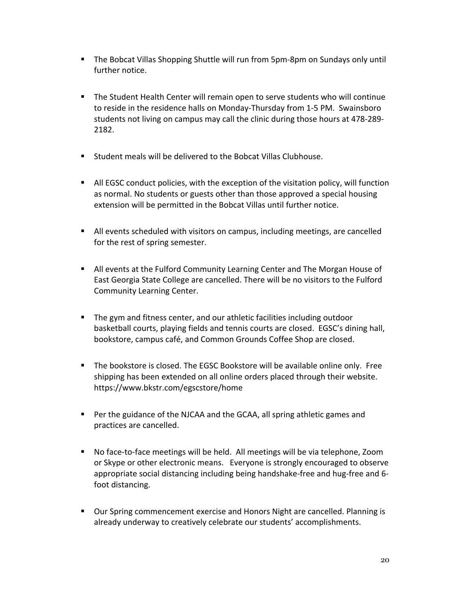- § The Bobcat Villas Shopping Shuttle will run from 5pm-8pm on Sundays only until further notice.
- The Student Health Center will remain open to serve students who will continue to reside in the residence halls on Monday-Thursday from 1-5 PM. Swainsboro students not living on campus may call the clinic during those hours at 478-289- 2182.
- § Student meals will be delivered to the Bobcat Villas Clubhouse.
- All EGSC conduct policies, with the exception of the visitation policy, will function as normal. No students or guests other than those approved a special housing extension will be permitted in the Bobcat Villas until further notice.
- **•** All events scheduled with visitors on campus, including meetings, are cancelled for the rest of spring semester.
- § All events at the Fulford Community Learning Center and The Morgan House of East Georgia State College are cancelled. There will be no visitors to the Fulford Community Learning Center.
- The gym and fitness center, and our athletic facilities including outdoor basketball courts, playing fields and tennis courts are closed. EGSC's dining hall, bookstore, campus café, and Common Grounds Coffee Shop are closed.
- § The bookstore is closed. The EGSC Bookstore will be available online only. Free shipping has been extended on all online orders placed through their website. https://www.bkstr.com/egscstore/home
- Per the guidance of the NJCAA and the GCAA, all spring athletic games and practices are cancelled.
- No face-to-face meetings will be held. All meetings will be via telephone, Zoom or Skype or other electronic means. Everyone is strongly encouraged to observe appropriate social distancing including being handshake-free and hug-free and 6 foot distancing.
- Our Spring commencement exercise and Honors Night are cancelled. Planning is already underway to creatively celebrate our students' accomplishments.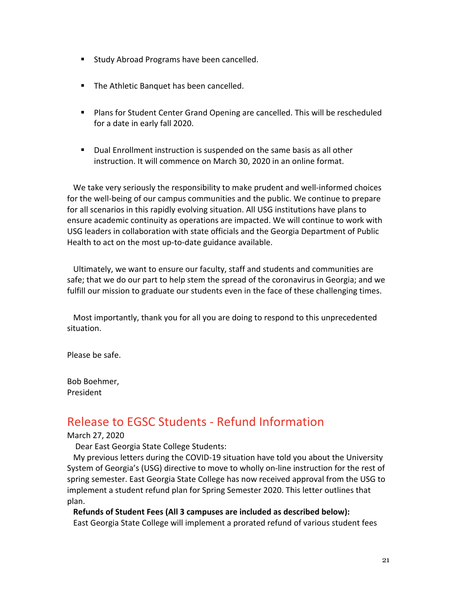- Study Abroad Programs have been cancelled.
- The Athletic Banquet has been cancelled.
- Plans for Student Center Grand Opening are cancelled. This will be rescheduled for a date in early fall 2020.
- Dual Enrollment instruction is suspended on the same basis as all other instruction. It will commence on March 30, 2020 in an online format.

We take very seriously the responsibility to make prudent and well-informed choices for the well-being of our campus communities and the public. We continue to prepare for all scenarios in this rapidly evolving situation. All USG institutions have plans to ensure academic continuity as operations are impacted. We will continue to work with USG leaders in collaboration with state officials and the Georgia Department of Public Health to act on the most up-to-date guidance available.

Ultimately, we want to ensure our faculty, staff and students and communities are safe; that we do our part to help stem the spread of the coronavirus in Georgia; and we fulfill our mission to graduate our students even in the face of these challenging times.

Most importantly, thank you for all you are doing to respond to this unprecedented situation.

Please be safe.

Bob Boehmer, President

# Release to EGSC Students - Refund Information

### March 27, 2020

Dear East Georgia State College Students:

My previous letters during the COVID-19 situation have told you about the University System of Georgia's (USG) directive to move to wholly on-line instruction for the rest of spring semester. East Georgia State College has now received approval from the USG to implement a student refund plan for Spring Semester 2020. This letter outlines that plan.

## **Refunds of Student Fees (All 3 campuses are included as described below):**

East Georgia State College will implement a prorated refund of various student fees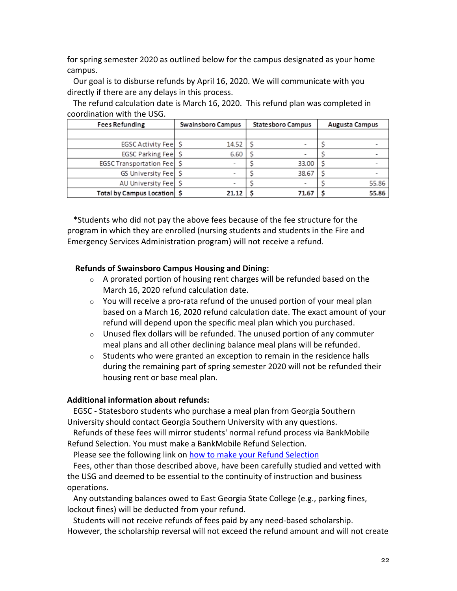for spring semester 2020 as outlined below for the campus designated as your home campus.

Our goal is to disburse refunds by April 16, 2020. We will communicate with you directly if there are any delays in this process.

| <b>Fees Refunding</b>         | Swainsboro Campus | Statesboro Campus | <b>Augusta Campus</b> |  |  |
|-------------------------------|-------------------|-------------------|-----------------------|--|--|
|                               |                   |                   |                       |  |  |
| EGSC Activity Fee S           | 14.52             |                   |                       |  |  |
| EGSC Parking Fee S            | 6.60              |                   |                       |  |  |
| EGSC Transportation Fee       |                   | 33.00             |                       |  |  |
| GS University Fee S           |                   | 38.67             |                       |  |  |
| AU University Fee S           |                   |                   | 55.86                 |  |  |
| Total by Campus Location   \$ | 21.12             | 71.67             | 55.86                 |  |  |

The refund calculation date is March 16, 2020. This refund plan was completed in coordination with the USG.

\*Students who did not pay the above fees because of the fee structure for the program in which they are enrolled (nursing students and students in the Fire and Emergency Services Administration program) will not receive a refund.

## **Refunds of Swainsboro Campus Housing and Dining:**

- $\circ$  A prorated portion of housing rent charges will be refunded based on the March 16, 2020 refund calculation date.
- $\circ$  You will receive a pro-rata refund of the unused portion of your meal plan based on a March 16, 2020 refund calculation date. The exact amount of your refund will depend upon the specific meal plan which you purchased.
- $\circ$  Unused flex dollars will be refunded. The unused portion of any commuter meal plans and all other declining balance meal plans will be refunded.
- $\circ$  Students who were granted an exception to remain in the residence halls during the remaining part of spring semester 2020 will not be refunded their housing rent or base meal plan.

## **Additional information about refunds:**

EGSC - Statesboro students who purchase a meal plan from Georgia Southern University should contact Georgia Southern University with any questions.

Refunds of these fees will mirror students' normal refund process via BankMobile Refund Selection. You must make a BankMobile Refund Selection.

Please see the following link on how to make your Refund Selection

Fees, other than those described above, have been carefully studied and vetted with the USG and deemed to be essential to the continuity of instruction and business operations.

Any outstanding balances owed to East Georgia State College (e.g., parking fines, lockout fines) will be deducted from your refund.

Students will not receive refunds of fees paid by any need-based scholarship. However, the scholarship reversal will not exceed the refund amount and will not create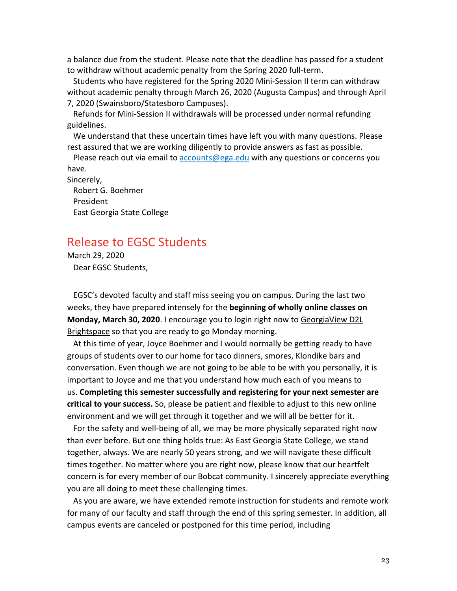a balance due from the student. Please note that the deadline has passed for a student to withdraw without academic penalty from the Spring 2020 full-term.

Students who have registered for the Spring 2020 Mini-Session II term can withdraw without academic penalty through March 26, 2020 (Augusta Campus) and through April 7, 2020 (Swainsboro/Statesboro Campuses).

Refunds for Mini-Session II withdrawals will be processed under normal refunding guidelines.

We understand that these uncertain times have left you with many questions. Please rest assured that we are working diligently to provide answers as fast as possible.

Please reach out via email to accounts@ega.edu with any questions or concerns you have.

Sincerely, Robert G. Boehmer President East Georgia State College

# Release to EGSC Students

March 29, 2020 Dear EGSC Students,

EGSC's devoted faculty and staff miss seeing you on campus. During the last two weeks, they have prepared intensely for the **beginning of wholly online classes on Monday, March 30, 2020**. I encourage you to login right now to GeorgiaView D2L Brightspace so that you are ready to go Monday morning.

At this time of year, Joyce Boehmer and I would normally be getting ready to have groups of students over to our home for taco dinners, smores, Klondike bars and conversation. Even though we are not going to be able to be with you personally, it is important to Joyce and me that you understand how much each of you means to us. **Completing this semester successfully and registering for your next semester are critical to your success.** So, please be patient and flexible to adjust to this new online environment and we will get through it together and we will all be better for it.

For the safety and well-being of all, we may be more physically separated right now than ever before. But one thing holds true: As East Georgia State College, we stand together, always. We are nearly 50 years strong, and we will navigate these difficult times together. No matter where you are right now, please know that our heartfelt concern is for every member of our Bobcat community. I sincerely appreciate everything you are all doing to meet these challenging times.

As you are aware, we have extended remote instruction for students and remote work for many of our faculty and staff through the end of this spring semester. In addition, all campus events are canceled or postponed for this time period, including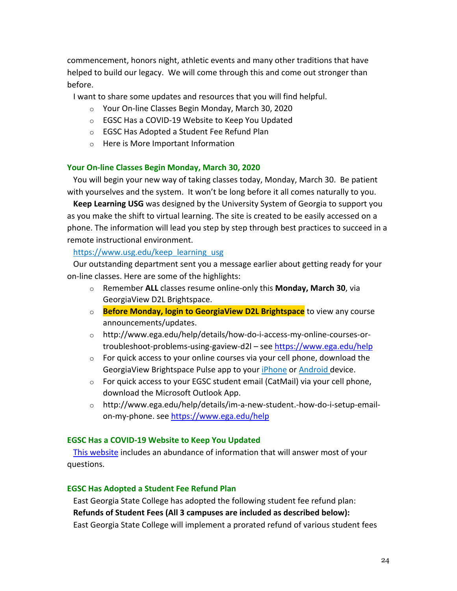commencement, honors night, athletic events and many other traditions that have helped to build our legacy. We will come through this and come out stronger than before.

I want to share some updates and resources that you will find helpful.

- o Your On-line Classes Begin Monday, March 30, 2020
- o EGSC Has a COVID-19 Website to Keep You Updated
- o EGSC Has Adopted a Student Fee Refund Plan
- o Here is More Important Information

### **Your On-line Classes Begin Monday, March 30, 2020**

You will begin your new way of taking classes today, Monday, March 30. Be patient with yourselves and the system. It won't be long before it all comes naturally to you.

**Keep Learning USG** was designed by the University System of Georgia to support you as you make the shift to virtual learning. The site is created to be easily accessed on a phone. The information will lead you step by step through best practices to succeed in a remote instructional environment.

### https://www.usg.edu/keep\_learning\_usg

Our outstanding department sent you a message earlier about getting ready for your on-line classes. Here are some of the highlights:

- o Remember **ALL** classes resume online-only this **Monday, March 30**, via GeorgiaView D2L Brightspace.
- o **Before Monday, login to GeorgiaView D2L Brightspace** to view any course announcements/updates.
- o http://www.ega.edu/help/details/how-do-i-access-my-online-courses-ortroubleshoot-problems-using-gaview-d2l – see https://www.ega.edu/help
- $\circ$  For quick access to your online courses via your cell phone, download the GeorgiaView Brightspace Pulse app to your iPhone or Android device.
- o For quick access to your EGSC student email (CatMail) via your cell phone, download the Microsoft Outlook App.
- o http://www.ega.edu/help/details/im-a-new-student.-how-do-i-setup-emailon-my-phone. see https://www.ega.edu/help

#### **EGSC Has a COVID-19 Website to Keep You Updated**

This website includes an abundance of information that will answer most of your questions.

## **EGSC Has Adopted a Student Fee Refund Plan**

East Georgia State College has adopted the following student fee refund plan: **Refunds of Student Fees (All 3 campuses are included as described below):** East Georgia State College will implement a prorated refund of various student fees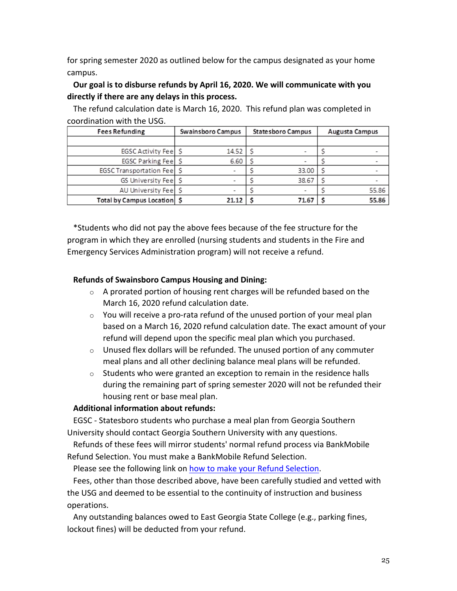for spring semester 2020 as outlined below for the campus designated as your home campus.

## **Our goal is to disburse refunds by April 16, 2020. We will communicate with you directly if there are any delays in this process.**

| COULUITATION WILL LITE USU.       |                   |                   |                       |  |  |
|-----------------------------------|-------------------|-------------------|-----------------------|--|--|
| <b>Fees Refunding</b>             | Swainsboro Campus | Statesboro Campus | <b>Augusta Campus</b> |  |  |
|                                   |                   |                   |                       |  |  |
| EGSC Activity Feel S              | 14.52             |                   |                       |  |  |
| EGSC Parking Fee                  | 6.60              |                   |                       |  |  |
| <b>EGSC Transportation Feel S</b> |                   | 33.00             |                       |  |  |
| GS University Fee S               |                   | 38.67             |                       |  |  |
| AU University Fee S               |                   |                   | 55.86                 |  |  |
| Total by Campus Location   \$     | 21.12             | 71.67             | 55.86                 |  |  |

The refund calculation date is March 16, 2020. This refund plan was completed in coordination with the USG.

\*Students who did not pay the above fees because of the fee structure for the program in which they are enrolled (nursing students and students in the Fire and Emergency Services Administration program) will not receive a refund.

## **Refunds of Swainsboro Campus Housing and Dining:**

- $\circ$  A prorated portion of housing rent charges will be refunded based on the March 16, 2020 refund calculation date.
- $\circ$  You will receive a pro-rata refund of the unused portion of your meal plan based on a March 16, 2020 refund calculation date. The exact amount of your refund will depend upon the specific meal plan which you purchased.
- $\circ$  Unused flex dollars will be refunded. The unused portion of any commuter meal plans and all other declining balance meal plans will be refunded.
- $\circ$  Students who were granted an exception to remain in the residence halls during the remaining part of spring semester 2020 will not be refunded their housing rent or base meal plan.

## **Additional information about refunds:**

EGSC - Statesboro students who purchase a meal plan from Georgia Southern University should contact Georgia Southern University with any questions.

Refunds of these fees will mirror students' normal refund process via BankMobile Refund Selection. You must make a BankMobile Refund Selection.

Please see the following link on how to make your Refund Selection.

Fees, other than those described above, have been carefully studied and vetted with the USG and deemed to be essential to the continuity of instruction and business operations.

Any outstanding balances owed to East Georgia State College (e.g., parking fines, lockout fines) will be deducted from your refund.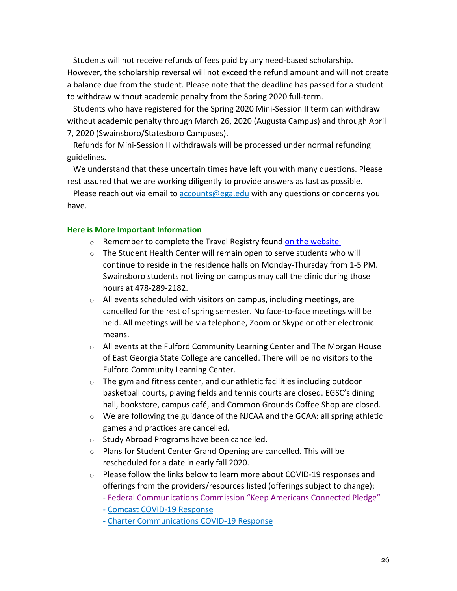Students will not receive refunds of fees paid by any need-based scholarship. However, the scholarship reversal will not exceed the refund amount and will not create a balance due from the student. Please note that the deadline has passed for a student to withdraw without academic penalty from the Spring 2020 full-term.

Students who have registered for the Spring 2020 Mini-Session II term can withdraw without academic penalty through March 26, 2020 (Augusta Campus) and through April 7, 2020 (Swainsboro/Statesboro Campuses).

Refunds for Mini-Session II withdrawals will be processed under normal refunding guidelines.

We understand that these uncertain times have left you with many questions. Please rest assured that we are working diligently to provide answers as fast as possible.

Please reach out via email to accounts@ega.edu with any questions or concerns you have.

#### **Here is More Important Information**

- o Remember to complete the Travel Registry found on the website
- $\circ$  The Student Health Center will remain open to serve students who will continue to reside in the residence halls on Monday-Thursday from 1-5 PM. Swainsboro students not living on campus may call the clinic during those hours at 478-289-2182.
- o All events scheduled with visitors on campus, including meetings, are cancelled for the rest of spring semester. No face-to-face meetings will be held. All meetings will be via telephone, Zoom or Skype or other electronic means.
- $\circ$  All events at the Fulford Community Learning Center and The Morgan House of East Georgia State College are cancelled. There will be no visitors to the Fulford Community Learning Center.
- o The gym and fitness center, and our athletic facilities including outdoor basketball courts, playing fields and tennis courts are closed. EGSC's dining hall, bookstore, campus café, and Common Grounds Coffee Shop are closed.
- o We are following the guidance of the NJCAA and the GCAA: all spring athletic games and practices are cancelled.
- o Study Abroad Programs have been cancelled.
- o Plans for Student Center Grand Opening are cancelled. This will be rescheduled for a date in early fall 2020.
- $\circ$  Please follow the links below to learn more about COVID-19 responses and offerings from the providers/resources listed (offerings subject to change):
	- Federal Communications Commission "Keep Americans Connected Pledge"
	- Comcast COVID-19 Response
	- Charter Communications COVID-19 Response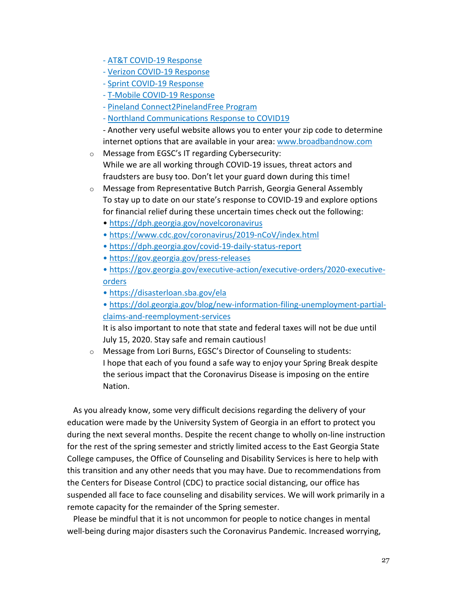- AT&T COVID-19 Response
- Verizon COVID-19 Response
- Sprint COVID-19 Response
- T-Mobile COVID-19 Response
- Pineland Connect2PinelandFree Program
- Northland Communications Response to COVID19

- Another very useful website allows you to enter your zip code to determine internet options that are available in your area: www.broadbandnow.com

- o Message from EGSC's IT regarding Cybersecurity: While we are all working through COVID-19 issues, threat actors and fraudsters are busy too. Don't let your guard down during this time!
- o Message from Representative Butch Parrish, Georgia General Assembly To stay up to date on our state's response to COVID-19 and explore options for financial relief during these uncertain times check out the following:
	- https://dph.georgia.gov/novelcoronavirus
	- https://www.cdc.gov/coronavirus/2019-nCoV/index.html
	- https://dph.georgia.gov/covid-19-daily-status-report
	- https://gov.georgia.gov/press-releases

• https://gov.georgia.gov/executive-action/executive-orders/2020-executiveorders

- https://disasterloan.sba.gov/ela
- https://dol.georgia.gov/blog/new-information-filing-unemployment-partialclaims-and-reemployment-services

It is also important to note that state and federal taxes will not be due until July 15, 2020. Stay safe and remain cautious!

o Message from Lori Burns, EGSC's Director of Counseling to students: I hope that each of you found a safe way to enjoy your Spring Break despite the serious impact that the Coronavirus Disease is imposing on the entire Nation.

As you already know, some very difficult decisions regarding the delivery of your education were made by the University System of Georgia in an effort to protect you during the next several months. Despite the recent change to wholly on-line instruction for the rest of the spring semester and strictly limited access to the East Georgia State College campuses, the Office of Counseling and Disability Services is here to help with this transition and any other needs that you may have. Due to recommendations from the Centers for Disease Control (CDC) to practice social distancing, our office has suspended all face to face counseling and disability services. We will work primarily in a remote capacity for the remainder of the Spring semester.

Please be mindful that it is not uncommon for people to notice changes in mental well-being during major disasters such the Coronavirus Pandemic. Increased worrying,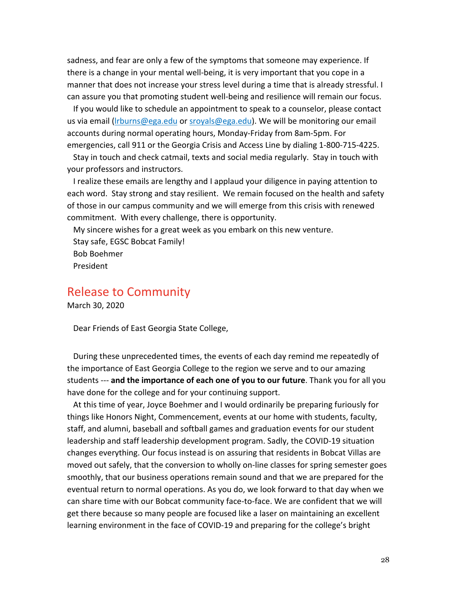sadness, and fear are only a few of the symptoms that someone may experience. If there is a change in your mental well-being, it is very important that you cope in a manner that does not increase your stress level during a time that is already stressful. I can assure you that promoting student well-being and resilience will remain our focus.

If you would like to schedule an appointment to speak to a counselor, please contact us via email (Irburns@ega.edu or sroyals@ega.edu). We will be monitoring our email accounts during normal operating hours, Monday-Friday from 8am-5pm. For emergencies, call 911 or the Georgia Crisis and Access Line by dialing 1-800-715-4225.

Stay in touch and check catmail, texts and social media regularly. Stay in touch with your professors and instructors.

I realize these emails are lengthy and I applaud your diligence in paying attention to each word. Stay strong and stay resilient. We remain focused on the health and safety of those in our campus community and we will emerge from this crisis with renewed commitment. With every challenge, there is opportunity.

My sincere wishes for a great week as you embark on this new venture. Stay safe, EGSC Bobcat Family! Bob Boehmer President

Release to Community

March 30, 2020

Dear Friends of East Georgia State College,

During these unprecedented times, the events of each day remind me repeatedly of the importance of East Georgia College to the region we serve and to our amazing students --- **and the importance of each one of you to our future**. Thank you for all you have done for the college and for your continuing support.

At this time of year, Joyce Boehmer and I would ordinarily be preparing furiously for things like Honors Night, Commencement, events at our home with students, faculty, staff, and alumni, baseball and softball games and graduation events for our student leadership and staff leadership development program. Sadly, the COVID-19 situation changes everything. Our focus instead is on assuring that residents in Bobcat Villas are moved out safely, that the conversion to wholly on-line classes for spring semester goes smoothly, that our business operations remain sound and that we are prepared for the eventual return to normal operations. As you do, we look forward to that day when we can share time with our Bobcat community face-to-face. We are confident that we will get there because so many people are focused like a laser on maintaining an excellent learning environment in the face of COVID-19 and preparing for the college's bright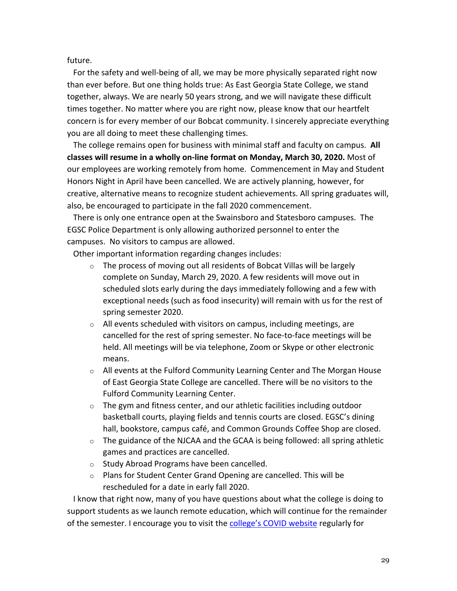future.

For the safety and well-being of all, we may be more physically separated right now than ever before. But one thing holds true: As East Georgia State College, we stand together, always. We are nearly 50 years strong, and we will navigate these difficult times together. No matter where you are right now, please know that our heartfelt concern is for every member of our Bobcat community. I sincerely appreciate everything you are all doing to meet these challenging times.

The college remains open for business with minimal staff and faculty on campus. **All classes will resume in a wholly on-line format on Monday, March 30, 2020.** Most of our employees are working remotely from home. Commencement in May and Student Honors Night in April have been cancelled. We are actively planning, however, for creative, alternative means to recognize student achievements. All spring graduates will, also, be encouraged to participate in the fall 2020 commencement.

There is only one entrance open at the Swainsboro and Statesboro campuses. The EGSC Police Department is only allowing authorized personnel to enter the campuses. No visitors to campus are allowed.

Other important information regarding changes includes:

- $\circ$  The process of moving out all residents of Bobcat Villas will be largely complete on Sunday, March 29, 2020. A few residents will move out in scheduled slots early during the days immediately following and a few with exceptional needs (such as food insecurity) will remain with us for the rest of spring semester 2020.
- $\circ$  All events scheduled with visitors on campus, including meetings, are cancelled for the rest of spring semester. No face-to-face meetings will be held. All meetings will be via telephone, Zoom or Skype or other electronic means.
- $\circ$  All events at the Fulford Community Learning Center and The Morgan House of East Georgia State College are cancelled. There will be no visitors to the Fulford Community Learning Center.
- $\circ$  The gym and fitness center, and our athletic facilities including outdoor basketball courts, playing fields and tennis courts are closed. EGSC's dining hall, bookstore, campus café, and Common Grounds Coffee Shop are closed.
- $\circ$  The guidance of the NJCAA and the GCAA is being followed: all spring athletic games and practices are cancelled.
- o Study Abroad Programs have been cancelled.
- o Plans for Student Center Grand Opening are cancelled. This will be rescheduled for a date in early fall 2020.

I know that right now, many of you have questions about what the college is doing to support students as we launch remote education, which will continue for the remainder of the semester. I encourage you to visit the college's COVID website regularly for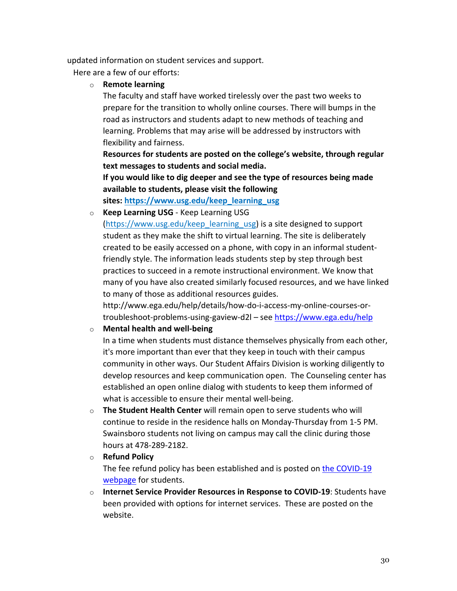updated information on student services and support.

Here are a few of our efforts:

o **Remote learning**

The faculty and staff have worked tirelessly over the past two weeks to prepare for the transition to wholly online courses. There will bumps in the road as instructors and students adapt to new methods of teaching and learning. Problems that may arise will be addressed by instructors with flexibility and fairness.

**Resources for students are posted on the college's website, through regular text messages to students and social media.**

**If you would like to dig deeper and see the type of resources being made available to students, please visit the following**

**sites: https://www.usg.edu/keep\_learning\_usg**

o **Keep Learning USG** - Keep Learning USG

(https://www.usg.edu/keep learning usg) is a site designed to support student as they make the shift to virtual learning. The site is deliberately created to be easily accessed on a phone, with copy in an informal studentfriendly style. The information leads students step by step through best practices to succeed in a remote instructional environment. We know that many of you have also created similarly focused resources, and we have linked to many of those as additional resources guides.

http://www.ega.edu/help/details/how-do-i-access-my-online-courses-ortroubleshoot-problems-using-gaview-d2l – see https://www.ega.edu/help

## o **Mental health and well-being**

In a time when students must distance themselves physically from each other, it's more important than ever that they keep in touch with their campus community in other ways. Our Student Affairs Division is working diligently to develop resources and keep communication open. The Counseling center has established an open online dialog with students to keep them informed of what is accessible to ensure their mental well-being.

o **The Student Health Center** will remain open to serve students who will continue to reside in the residence halls on Monday-Thursday from 1-5 PM. Swainsboro students not living on campus may call the clinic during those hours at 478-289-2182.

o **Refund Policy**

The fee refund policy has been established and is posted on the COVID-19 webpage for students.

o **Internet Service Provider Resources in Response to COVID-19**: Students have been provided with options for internet services. These are posted on the website.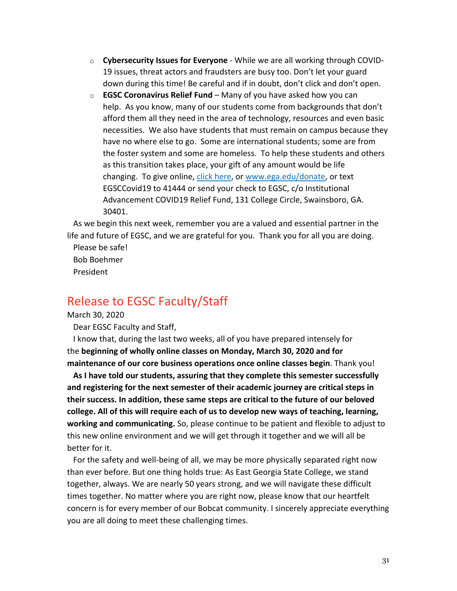- o **Cybersecurity Issues for Everyone** While we are all working through COVID-19 issues, threat actors and fraudsters are busy too. Don't let your guard down during this time! Be careful and if in doubt, don't click and don't open.
- o **EGSC Coronavirus Relief Fund** Many of you have asked how you can help. As you know, many of our students come from backgrounds that don't afford them all they need in the area of technology, resources and even basic necessities. We also have students that must remain on campus because they have no where else to go. Some are international students; some are from the foster system and some are homeless. To help these students and others as this transition takes place, your gift of any amount would be life changing. To give online, click here, or www.ega.edu/donate, or text EGSCCovid19 to 41444 or send your check to EGSC, c/o Institutional Advancement COVID19 Relief Fund, 131 College Circle, Swainsboro, GA. 30401.

As we begin this next week, remember you are a valued and essential partner in the life and future of EGSC, and we are grateful for you. Thank you for all you are doing.

Please be safe! Bob Boehmer President

# Release to EGSC Faculty/Staff

March 30, 2020

Dear EGSC Faculty and Staff,

I know that, during the last two weeks, all of you have prepared intensely for the **beginning of wholly online classes on Monday, March 30, 2020 and for maintenance of our core business operations once online classes begin**. Thank you!

**As I have told our students, assuring that they complete this semester successfully and registering for the next semester of their academic journey are critical steps in their success. In addition, these same steps are critical to the future of our beloved college. All of this will require each of us to develop new ways of teaching, learning, working and communicating.** So, please continue to be patient and flexible to adjust to this new online environment and we will get through it together and we will all be better for it.

For the safety and well-being of all, we may be more physically separated right now than ever before. But one thing holds true: As East Georgia State College, we stand together, always. We are nearly 50 years strong, and we will navigate these difficult times together. No matter where you are right now, please know that our heartfelt concern is for every member of our Bobcat community. I sincerely appreciate everything you are all doing to meet these challenging times.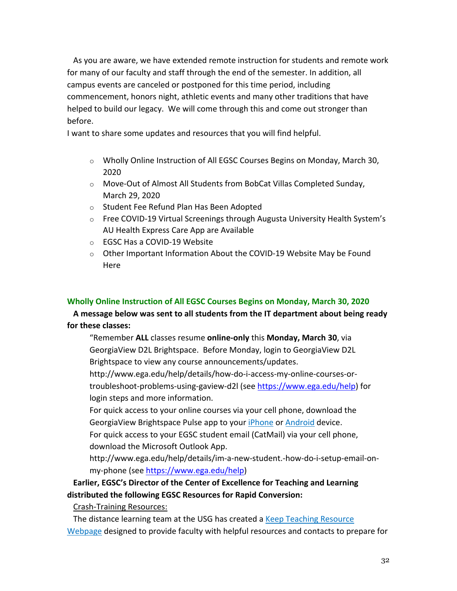As you are aware, we have extended remote instruction for students and remote work for many of our faculty and staff through the end of the semester. In addition, all campus events are canceled or postponed for this time period, including commencement, honors night, athletic events and many other traditions that have helped to build our legacy. We will come through this and come out stronger than before.

I want to share some updates and resources that you will find helpful.

- $\circ$  Wholly Online Instruction of All EGSC Courses Begins on Monday, March 30, 2020
- o Move-Out of Almost All Students from BobCat Villas Completed Sunday, March 29, 2020
- o Student Fee Refund Plan Has Been Adopted
- $\circ$  Free COVID-19 Virtual Screenings through Augusta University Health System's AU Health Express Care App are Available
- o EGSC Has a COVID-19 Website
- $\circ$  Other Important Information About the COVID-19 Website May be Found Here

## **Wholly Online Instruction of All EGSC Courses Begins on Monday, March 30, 2020**

**A message below was sent to all students from the IT department about being ready for these classes:**

"Remember **ALL** classes resume **online-only** this **Monday, March 30**, via GeorgiaView D2L Brightspace. Before Monday, login to GeorgiaView D2L Brightspace to view any course announcements/updates.

http://www.ega.edu/help/details/how-do-i-access-my-online-courses-ortroubleshoot-problems-using-gaview-d2l (see https://www.ega.edu/help) for login steps and more information.

For quick access to your online courses via your cell phone, download the GeorgiaView Brightspace Pulse app to your *iPhone* or **Android** device. For quick access to your EGSC student email (CatMail) via your cell phone,

download the Microsoft Outlook App.

http://www.ega.edu/help/details/im-a-new-student.-how-do-i-setup-email-onmy-phone (see https://www.ega.edu/help)

## **Earlier, EGSC's Director of the Center of Excellence for Teaching and Learning distributed the following EGSC Resources for Rapid Conversion:**

Crash-Training Resources:

The distance learning team at the USG has created a Keep Teaching Resource Webpage designed to provide faculty with helpful resources and contacts to prepare for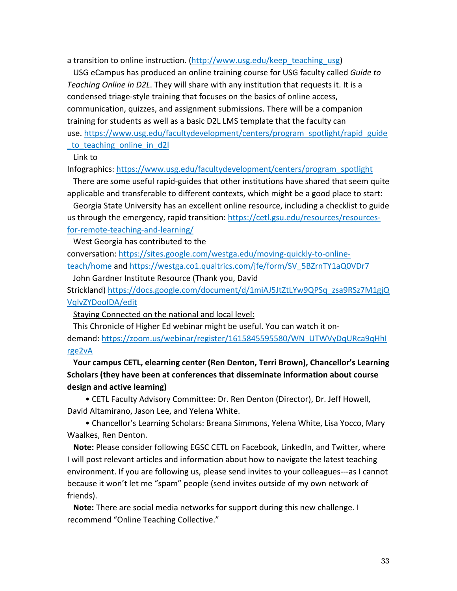a transition to online instruction. (http://www.usg.edu/keep\_teaching\_usg)

USG eCampus has produced an online training course for USG faculty called *Guide to Teaching Online in D2L*. They will share with any institution that requests it. It is a condensed triage-style training that focuses on the basics of online access, communication, quizzes, and assignment submissions. There will be a companion training for students as well as a basic D2L LMS template that the faculty can use. https://www.usg.edu/facultydevelopment/centers/program\_spotlight/rapid\_guide

to teaching online in d2l

Link to

Infographics: https://www.usg.edu/facultydevelopment/centers/program\_spotlight

There are some useful rapid-guides that other institutions have shared that seem quite applicable and transferable to different contexts, which might be a good place to start:

Georgia State University has an excellent online resource, including a checklist to guide us through the emergency, rapid transition: https://cetl.gsu.edu/resources/resourcesfor-remote-teaching-and-learning/

West Georgia has contributed to the

conversation: https://sites.google.com/westga.edu/moving-quickly-to-onlineteach/home and https://westga.co1.qualtrics.com/jfe/form/SV\_5BZrnTY1aQ0VDr7

John Gardner Institute Resource (Thank you, David

Strickland) https://docs.google.com/document/d/1miAJ5JtZtLYw9QPSq\_zsa9RSz7M1gjQ VqlvZYDooIDA/edit

Staying Connected on the national and local level:

This Chronicle of Higher Ed webinar might be useful. You can watch it ondemand: https://zoom.us/webinar/register/1615845595580/WN\_UTWVyDqURca9qHhI rge2vA

## **Your campus CETL, elearning center (Ren Denton, Terri Brown), Chancellor's Learning Scholars (they have been at conferences that disseminate information about course design and active learning)**

• CETL Faculty Advisory Committee: Dr. Ren Denton (Director), Dr. Jeff Howell, David Altamirano, Jason Lee, and Yelena White.

• Chancellor's Learning Scholars: Breana Simmons, Yelena White, Lisa Yocco, Mary Waalkes, Ren Denton.

**Note:** Please consider following EGSC CETL on Facebook, LinkedIn, and Twitter, where I will post relevant articles and information about how to navigate the latest teaching environment. If you are following us, please send invites to your colleagues---as I cannot because it won't let me "spam" people (send invites outside of my own network of friends).

**Note:** There are social media networks for support during this new challenge. I recommend "Online Teaching Collective."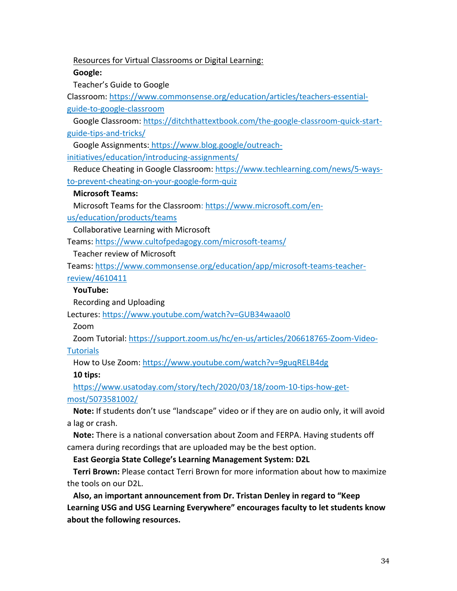Resources for Virtual Classrooms or Digital Learning:

**Google:**

Teacher's Guide to Google

Classroom: https://www.commonsense.org/education/articles/teachers-essentialguide-to-google-classroom

Google Classroom: https://ditchthattextbook.com/the-google-classroom-quick-startguide-tips-and-tricks/

Google Assignments: https://www.blog.google/outreachinitiatives/education/introducing-assignments/

Reduce Cheating in Google Classroom: https://www.techlearning.com/news/5-waysto-prevent-cheating-on-your-google-form-quiz

### **Microsoft Teams:**

Microsoft Teams for the Classroom: https://www.microsoft.com/en-

us/education/products/teams

Collaborative Learning with Microsoft

Teams: https://www.cultofpedagogy.com/microsoft-teams/

Teacher review of Microsoft

Teams: https://www.commonsense.org/education/app/microsoft-teams-teacher-

## review/4610411

## **YouTube:**

Recording and Uploading

Lectures: https://www.youtube.com/watch?v=GUB34waaol0

Zoom

Zoom Tutorial: https://support.zoom.us/hc/en-us/articles/206618765-Zoom-Video-

**Tutorials** 

How to Use Zoom: https://www.youtube.com/watch?v=9guqRELB4dg

**10 tips:**

https://www.usatoday.com/story/tech/2020/03/18/zoom-10-tips-how-getmost/5073581002/

**Note:** If students don't use "landscape" video or if they are on audio only, it will avoid a lag or crash.

**Note:** There is a national conversation about Zoom and FERPA. Having students off camera during recordings that are uploaded may be the best option.

**East Georgia State College's Learning Management System: D2L**

**Terri Brown:** Please contact Terri Brown for more information about how to maximize the tools on our D2L.

**Also, an important announcement from Dr. Tristan Denley in regard to "Keep Learning USG and USG Learning Everywhere" encourages faculty to let students know about the following resources.**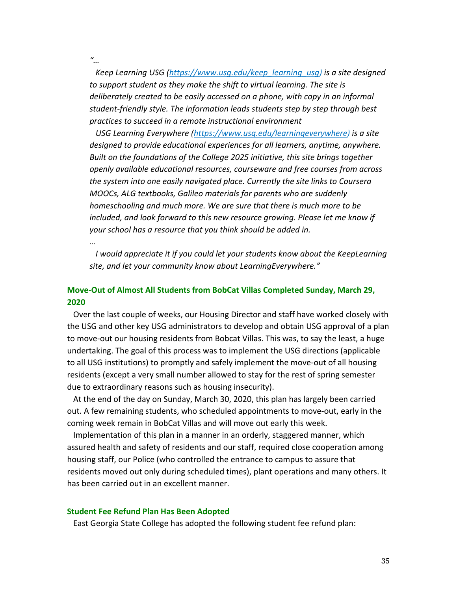*"…*

*Keep Learning USG (https://www.usg.edu/keep\_learning\_usg) is a site designed to support student as they make the shift to virtual learning. The site is deliberately created to be easily accessed on a phone, with copy in an informal student-friendly style. The information leads students step by step through best practices to succeed in a remote instructional environment*

*USG Learning Everywhere (https://www.usg.edu/learningeverywhere) is a site designed to provide educational experiences for all learners, anytime, anywhere. Built on the foundations of the College 2025 initiative, this site brings together openly available educational resources, courseware and free courses from across the system into one easily navigated place. Currently the site links to Coursera MOOCs, ALG textbooks, Galileo materials for parents who are suddenly homeschooling and much more. We are sure that there is much more to be included, and look forward to this new resource growing. Please let me know if your school has a resource that you think should be added in.*

*…*

*I would appreciate it if you could let your students know about the KeepLearning site, and let your community know about LearningEverywhere."*

## **Move-Out of Almost All Students from BobCat Villas Completed Sunday, March 29, 2020**

Over the last couple of weeks, our Housing Director and staff have worked closely with the USG and other key USG administrators to develop and obtain USG approval of a plan to move-out our housing residents from Bobcat Villas. This was, to say the least, a huge undertaking. The goal of this process was to implement the USG directions (applicable to all USG institutions) to promptly and safely implement the move-out of all housing residents (except a very small number allowed to stay for the rest of spring semester due to extraordinary reasons such as housing insecurity).

At the end of the day on Sunday, March 30, 2020, this plan has largely been carried out. A few remaining students, who scheduled appointments to move-out, early in the coming week remain in BobCat Villas and will move out early this week.

Implementation of this plan in a manner in an orderly, staggered manner, which assured health and safety of residents and our staff, required close cooperation among housing staff, our Police (who controlled the entrance to campus to assure that residents moved out only during scheduled times), plant operations and many others. It has been carried out in an excellent manner.

#### **Student Fee Refund Plan Has Been Adopted**

East Georgia State College has adopted the following student fee refund plan: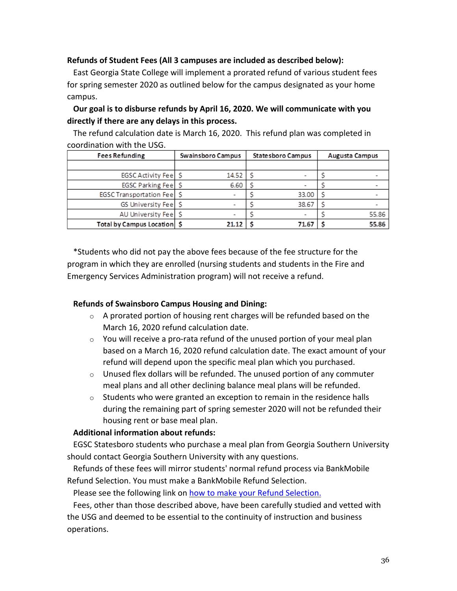## **Refunds of Student Fees (All 3 campuses are included as described below):**

East Georgia State College will implement a prorated refund of various student fees for spring semester 2020 as outlined below for the campus designated as your home campus.

## **Our goal is to disburse refunds by April 16, 2020. We will communicate with you directly if there are any delays in this process.**

The refund calculation date is March 16, 2020. This refund plan was completed in coordination with the USG.

| <b>Fees Refunding</b>         | Swainsboro Campus | Statesboro Campus | Augusta Campus |
|-------------------------------|-------------------|-------------------|----------------|
|                               |                   |                   |                |
| EGSC Activity Feel S          | 14.52             |                   |                |
| EGSC Parking Fee S            | 6.60              |                   |                |
| EGSC Transportation Feel S    |                   | 33.00             |                |
| GS University Feel S          |                   | 38.67             |                |
| AU University Feel S          |                   |                   | 55.86          |
| Total by Campus Location   \$ | 21.12             | 71.67             | 55.86          |

\*Students who did not pay the above fees because of the fee structure for the program in which they are enrolled (nursing students and students in the Fire and Emergency Services Administration program) will not receive a refund.

## **Refunds of Swainsboro Campus Housing and Dining:**

- o A prorated portion of housing rent charges will be refunded based on the March 16, 2020 refund calculation date.
- $\circ$  You will receive a pro-rata refund of the unused portion of your meal plan based on a March 16, 2020 refund calculation date. The exact amount of your refund will depend upon the specific meal plan which you purchased.
- $\circ$  Unused flex dollars will be refunded. The unused portion of any commuter meal plans and all other declining balance meal plans will be refunded.
- $\circ$  Students who were granted an exception to remain in the residence halls during the remaining part of spring semester 2020 will not be refunded their housing rent or base meal plan.

## **Additional information about refunds:**

EGSC Statesboro students who purchase a meal plan from Georgia Southern University should contact Georgia Southern University with any questions.

Refunds of these fees will mirror students' normal refund process via BankMobile Refund Selection. You must make a BankMobile Refund Selection.

Please see the following link on how to make your Refund Selection.

Fees, other than those described above, have been carefully studied and vetted with the USG and deemed to be essential to the continuity of instruction and business operations.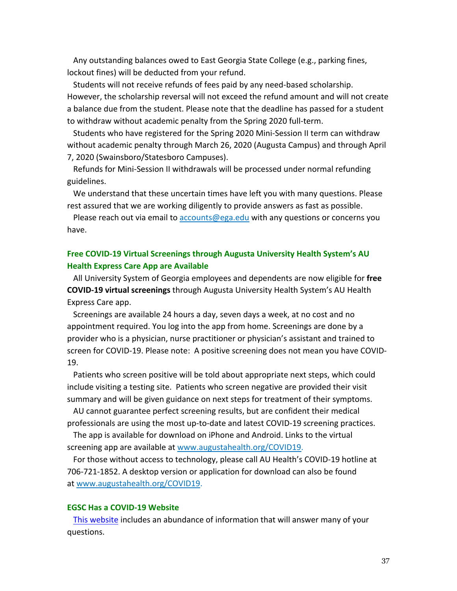Any outstanding balances owed to East Georgia State College (e.g., parking fines, lockout fines) will be deducted from your refund.

Students will not receive refunds of fees paid by any need-based scholarship. However, the scholarship reversal will not exceed the refund amount and will not create a balance due from the student. Please note that the deadline has passed for a student to withdraw without academic penalty from the Spring 2020 full-term.

Students who have registered for the Spring 2020 Mini-Session II term can withdraw without academic penalty through March 26, 2020 (Augusta Campus) and through April 7, 2020 (Swainsboro/Statesboro Campuses).

Refunds for Mini-Session II withdrawals will be processed under normal refunding guidelines.

We understand that these uncertain times have left you with many questions. Please rest assured that we are working diligently to provide answers as fast as possible.

Please reach out via email to accounts@ega.edu with any questions or concerns you have.

## **Free COVID-19 Virtual Screenings through Augusta University Health System's AU Health Express Care App are Available**

All University System of Georgia employees and dependents are now eligible for **free COVID-19 virtual screenings** through Augusta University Health System's AU Health Express Care app.

Screenings are available 24 hours a day, seven days a week, at no cost and no appointment required. You log into the app from home. Screenings are done by a provider who is a physician, nurse practitioner or physician's assistant and trained to screen for COVID-19. Please note: A positive screening does not mean you have COVID-19.

Patients who screen positive will be told about appropriate next steps, which could include visiting a testing site. Patients who screen negative are provided their visit summary and will be given guidance on next steps for treatment of their symptoms.

AU cannot guarantee perfect screening results, but are confident their medical professionals are using the most up-to-date and latest COVID-19 screening practices.

The app is available for download on iPhone and Android. Links to the virtual screening app are available at www.augustahealth.org/COVID19.

For those without access to technology, please call AU Health's COVID-19 hotline at 706-721-1852. A desktop version or application for download can also be found at www.augustahealth.org/COVID19.

#### **EGSC Has a COVID-19 Website**

This website includes an abundance of information that will answer many of your questions.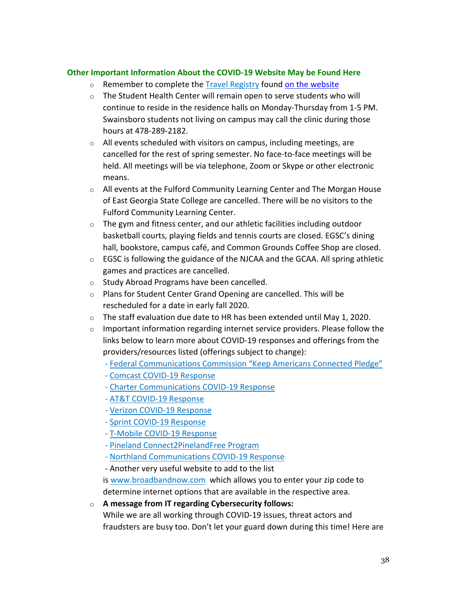## **Other Important Information About the COVID-19 Website May be Found Here**

- o Remember to complete the Travel Registry found on the website
- o The Student Health Center will remain open to serve students who will continue to reside in the residence halls on Monday-Thursday from 1-5 PM. Swainsboro students not living on campus may call the clinic during those hours at 478-289-2182.
- $\circ$  All events scheduled with visitors on campus, including meetings, are cancelled for the rest of spring semester. No face-to-face meetings will be held. All meetings will be via telephone, Zoom or Skype or other electronic means.
- $\circ$  All events at the Fulford Community Learning Center and The Morgan House of East Georgia State College are cancelled. There will be no visitors to the Fulford Community Learning Center.
- $\circ$  The gym and fitness center, and our athletic facilities including outdoor basketball courts, playing fields and tennis courts are closed. EGSC's dining hall, bookstore, campus café, and Common Grounds Coffee Shop are closed.
- $\circ$  EGSC is following the guidance of the NJCAA and the GCAA. All spring athletic games and practices are cancelled.
- o Study Abroad Programs have been cancelled.
- o Plans for Student Center Grand Opening are cancelled. This will be rescheduled for a date in early fall 2020.
- $\circ$  The staff evaluation due date to HR has been extended until May 1, 2020.
- $\circ$  Important information regarding internet service providers. Please follow the links below to learn more about COVID-19 responses and offerings from the providers/resources listed (offerings subject to change):
	- Federal Communications Commission "Keep Americans Connected Pledge"
	- Comcast COVID-19 Response
	- Charter Communications COVID-19 Response
	- AT&T COVID-19 Response
	- Verizon COVID-19 Response
	- Sprint COVID-19 Response
	- T-Mobile COVID-19 Response
	- Pineland Connect2PinelandFree Program
	- Northland Communications COVID-19 Response
	- Another very useful website to add to the list

is www.broadbandnow.com which allows you to enter your zip code to determine internet options that are available in the respective area.

o **A message from IT regarding Cybersecurity follows:**

While we are all working through COVID-19 issues, threat actors and fraudsters are busy too. Don't let your guard down during this time! Here are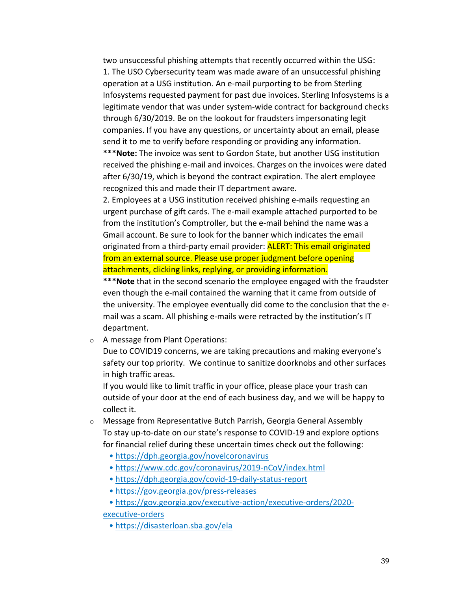two unsuccessful phishing attempts that recently occurred within the USG: 1. The USO Cybersecurity team was made aware of an unsuccessful phishing operation at a USG institution. An e-mail purporting to be from Sterling Infosystems requested payment for past due invoices. Sterling Infosystems is a legitimate vendor that was under system-wide contract for background checks through 6/30/2019. Be on the lookout for fraudsters impersonating legit companies. If you have any questions, or uncertainty about an email, please send it to me to verify before responding or providing any information.

**\*\*\*Note:** The invoice was sent to Gordon State, but another USG institution received the phishing e-mail and invoices. Charges on the invoices were dated after 6/30/19, which is beyond the contract expiration. The alert employee recognized this and made their IT department aware.

2. Employees at a USG institution received phishing e-mails requesting an urgent purchase of gift cards. The e-mail example attached purported to be from the institution's Comptroller, but the e-mail behind the name was a Gmail account. Be sure to look for the banner which indicates the email originated from a third-party email provider: **ALERT: This email originated** from an external source. Please use proper judgment before opening attachments, clicking links, replying, or providing information.

**\*\*\*Note** that in the second scenario the employee engaged with the fraudster even though the e-mail contained the warning that it came from outside of the university. The employee eventually did come to the conclusion that the email was a scam. All phishing e-mails were retracted by the institution's IT department.

o A message from Plant Operations:

Due to COVID19 concerns, we are taking precautions and making everyone's safety our top priority. We continue to sanitize doorknobs and other surfaces in high traffic areas.

If you would like to limit traffic in your office, please place your trash can outside of your door at the end of each business day, and we will be happy to collect it.

- o Message from Representative Butch Parrish, Georgia General Assembly To stay up-to-date on our state's response to COVID-19 and explore options for financial relief during these uncertain times check out the following:
	- https://dph.georgia.gov/novelcoronavirus
	- https://www.cdc.gov/coronavirus/2019-nCoV/index.html
	- https://dph.georgia.gov/covid-19-daily-status-report
	- https://gov.georgia.gov/press-releases
	- https://gov.georgia.gov/executive-action/executive-orders/2020-

### executive-orders

• https://disasterloan.sba.gov/ela